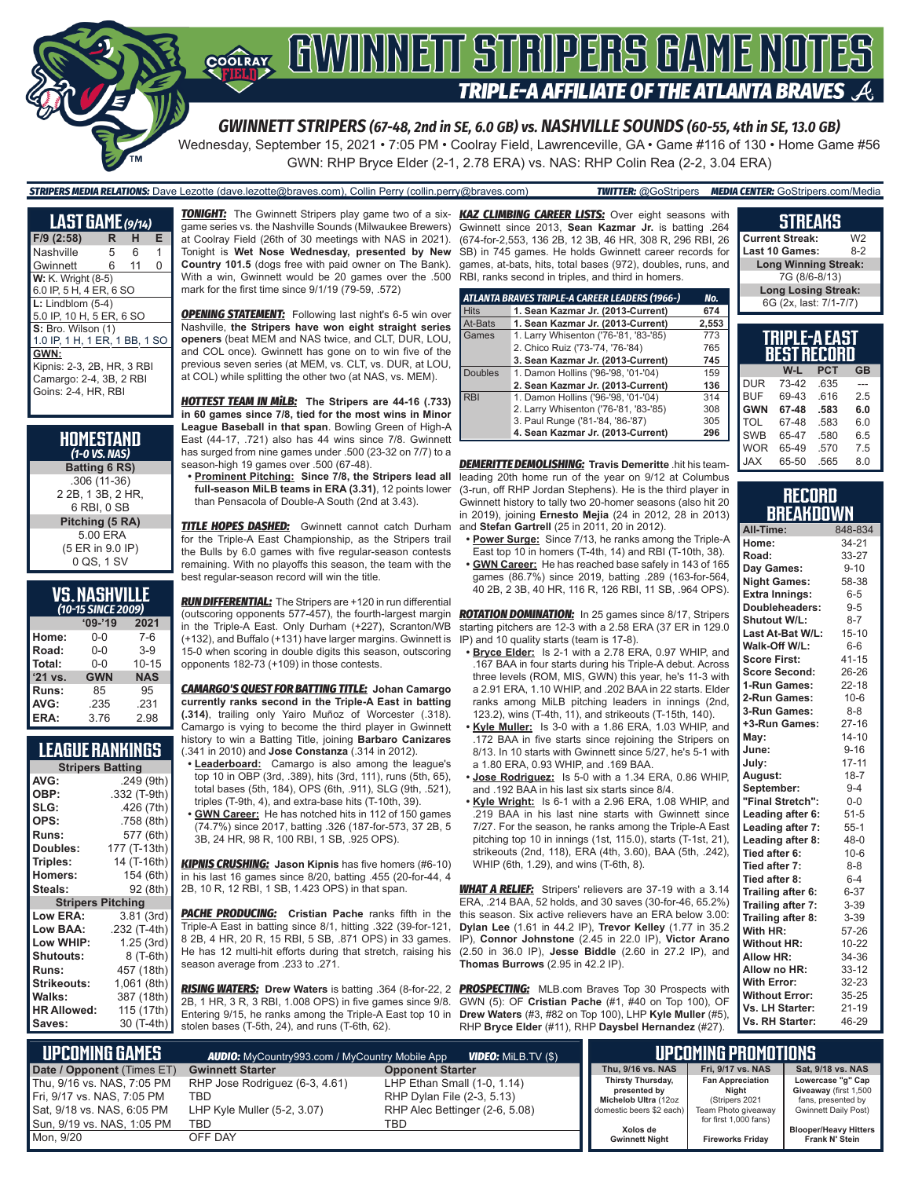

Wednesday, September 15, 2021 • 7:05 PM • Coolray Field, Lawrenceville, GA • Game #116 of 130 • Home Game #56

GWN: RHP Bryce Elder (2-1, 2.78 ERA) vs. NAS: RHP Colin Rea (2-2, 3.04 ERA)

# *STRIPERS MEDIA RELATIONS:* Dave Lezotte (dave.lezotte@braves.com), Collin Perry (collin.perry@braves.com) *TWITTER:* @GoStripers *MEDIA CENTER:* GoStripers.com/Media

| <b>LAST GAME</b> (9/14)       |   |    |   |
|-------------------------------|---|----|---|
| $F/9$ (2:58)                  | R | н  | Е |
| Nashville                     | 5 | 6  | 1 |
| Gwinnett                      | 6 | 11 | O |
| <b>W:</b> K. Wright (8-5)     |   |    |   |
| 6.0 IP, 5 H, 4 ER, 6 SO       |   |    |   |
| $L:$ Lindblom $(5-4)$         |   |    |   |
| 5.0 IP, 10 H, 5 ER, 6 SO      |   |    |   |
| S: Bro. Wilson (1)            |   |    |   |
| 1.0 IP, 1 H, 1 ER, 1 BB, 1 SO |   |    |   |
| GWN:                          |   |    |   |
| Kipnis: 2-3, 2B, HR, 3 RBI    |   |    |   |
| Camargo: 2-4, 3B, 2 RBI       |   |    |   |
| Goins: 2-4, HR, RBI           |   |    |   |

| <b>HOMESTAND</b><br>$(1-0$ VS. NAS) |
|-------------------------------------|
| <b>Batting 6 RS)</b>                |
| $.306(11-36)$                       |
| 2 2B, 1 3B, 2 HR,                   |
| 6 RBI. 0 SB                         |
| Pitching (5 RA)                     |
| 5.00 ERA                            |
| (5 ER in 9.0 IP)                    |
| 0 QS, 1 SV                          |

#### **VS. NASHVILLE**  *(10-15 SINCE 2009)*

| ( IU-IJ JINCE ZUUS) |            |            |  |  |  |  |
|---------------------|------------|------------|--|--|--|--|
| $09 - 19$<br>2021   |            |            |  |  |  |  |
| Home:               | 0-0        | $7-6$      |  |  |  |  |
| Road:               | $0 - 0$    | $3-9$      |  |  |  |  |
| Total:              | $0 - 0$    | $10 - 15$  |  |  |  |  |
| '21 vs.             | <b>GWN</b> | <b>NAS</b> |  |  |  |  |
| Runs:               | 85         | 95         |  |  |  |  |
| AVG:                | .235       | .231       |  |  |  |  |
| ERA:                | 3.76       | 2.98       |  |  |  |  |

### **LEAGUE RANKINGS**

| AVG:                     |              |
|--------------------------|--------------|
|                          | .249 (9th)   |
| OBP:                     | .332 (T-9th) |
| SLG:                     | .426 (7th)   |
| OPS:                     | .758 (8th)   |
| <b>Runs:</b>             | 577 (6th)    |
| Doubles:                 | 177 (T-13th) |
| Triples:                 | 14 (T-16th)  |
| <b>Homers:</b>           | 154 (6th)    |
| Steals:                  | 92 (8th)     |
| <b>Stripers Pitching</b> |              |
| <b>Low ERA:</b>          | 3.81 (3rd)   |
| Low BAA:                 | .232 (T-4th) |
| Low WHIP:                | 1.25(3rd)    |
| Shutouts:                | 8 (T-6th)    |
| Runs:                    | 457 (18th)   |
| <b>Strikeouts:</b>       | 1,061 (8th)  |
| Walks:                   | 387 (18th)   |
| <b>HR Allowed:</b>       | 115 (17th)   |
| Saves:                   | 30 (T-4th)   |

*TONIGHT:* The Gwinnett Stripers play game two of a six-*KAZ CLIMBING CAREER LISTS:* Over eight seasons with game series vs. the Nashville Sounds (Milwaukee Brewers) at Coolray Field (26th of 30 meetings with NAS in 2021). Tonight is **Wet Nose Wednesday, presented by New Country 101.5** (dogs free with paid owner on The Bank). With a win, Gwinnett would be 20 games over the .500 mark for the first time since 9/1/19 (79-59, .572)

**OPENING STATEMENT:** Following last night's 6-5 win over Nashville, **the Stripers have won eight straight series openers** (beat MEM and NAS twice, and CLT, DUR, LOU, and COL once). Gwinnett has gone on to win five of the previous seven series (at MEM, vs. CLT, vs. DUR, at LOU, at COL) while splitting the other two (at NAS, vs. MEM).

*HOTTEST TEAM IN MiLB:* **The Stripers are 44-16 (.733) in 60 games since 7/8, tied for the most wins in Minor League Baseball in that span**. Bowling Green of High-A East (44-17, .721) also has 44 wins since 7/8. Gwinnett has surged from nine games under .500 (23-32 on 7/7) to a season-high 19 games over .500 (67-48).

**• Prominent Pitching: Since 7/8, the Stripers lead all full-season MiLB teams in ERA (3.31)**, 12 points lower than Pensacola of Double-A South (2nd at 3.43).

**TITLE HOPES DASHED:** Gwinnett cannot catch Durham for the Triple-A East Championship, as the Stripers trail the Bulls by 6.0 games with five regular-season contests remaining. With no playoffs this season, the team with the best regular-season record will win the title.

*RUN DIFFERENTIAL:* The Stripers are +120 in run differential (outscoring opponents 577-457), the fourth-largest margin in the Triple-A East. Only Durham (+227), Scranton/WB (+132), and Buffalo (+131) have larger margins. Gwinnett is 15-0 when scoring in double digits this season, outscoring opponents 182-73 (+109) in those contests.

*CAMARGO'S QUEST FOR BATTING TITLE:* **Johan Camargo currently ranks second in the Triple-A East in batting (.314)**, trailing only Yairo Muñoz of Worcester (.318). Camargo is vying to become the third player in Gwinnett history to win a Batting Title, joining **Barbaro Canizares** (.341 in 2010) and **Jose Constanza** (.314 in 2012).

- **• Leaderboard:** Camargo is also among the league's top 10 in OBP (3rd, .389), hits (3rd, 111), runs (5th, 65), total bases (5th, 184), OPS (6th, .911), SLG (9th, .521), triples (T-9th, 4), and extra-base hits (T-10th, 39).
- **• GWN Career:** He has notched hits in 112 of 150 games (74.7%) since 2017, batting .326 (187-for-573, 37 2B, 5 3B, 24 HR, 98 R, 100 RBI, 1 SB, .925 OPS).

*KIPNIS CRUSHING:* **Jason Kipnis** has five homers (#6-10) in his last 16 games since 8/20, batting .455 (20-for-44, 4 2B, 10 R, 12 RBI, 1 SB, 1.423 OPS) in that span.

**PACHE PRODUCING:** Cristian Pache ranks fifth in the Triple-A East in batting since 8/1, hitting .322 (39-for-121, 8 2B, 4 HR, 20 R, 15 RBI, 5 SB, .871 OPS) in 33 games. He has 12 multi-hit efforts during that stretch, raising his season average from .233 to .271.

*RISING WATERS:* **Drew Waters** is batting .364 (8-for-22, 2 2B, 1 HR, 3 R, 3 RBI, 1.008 OPS) in five games since 9/8. Entering 9/15, he ranks among the Triple-A East top 10 in stolen bases (T-5th, 24), and runs (T-6th, 62).

Gwinnett since 2013, **Sean Kazmar Jr.** is batting .264 (674-for-2,553, 136 2B, 12 3B, 46 HR, 308 R, 296 RBI, 26 SB) in 745 games. He holds Gwinnett career records for games, at-bats, hits, total bases (972), doubles, runs, and RBI, ranks second in triples, and third in homers.

|                | ATLANTA BRAVES TRIPLE-A CAREER LEADERS (1966-) | No.   |
|----------------|------------------------------------------------|-------|
| <b>Hits</b>    | 1. Sean Kazmar Jr. (2013-Current)              | 674   |
| At-Bats        | 1. Sean Kazmar Jr. (2013-Current)              | 2,553 |
| Games          | 1. Larry Whisenton ('76-'81, '83-'85)          | 773   |
|                | 2. Chico Ruiz ('73-'74, '76-'84)               | 765   |
|                | 3. Sean Kazmar Jr. (2013-Current)              | 745   |
| <b>Doubles</b> | 1. Damon Hollins ('96-'98, '01-'04)            | 159   |
|                | 2. Sean Kazmar Jr. (2013-Current)              | 136   |
| <b>RBI</b>     | 1. Damon Hollins ('96-'98, '01-'04)            | 314   |
|                | 2. Larry Whisenton ('76-'81, '83-'85)          | 308   |
|                | 3. Paul Runge ('81-'84, '86-'87)               | 305   |
|                | 4. Sean Kazmar Jr. (2013-Current)              | 296   |

*DEMERITTE DEMOLISHING:* **Travis Demeritte** .hit his teamleading 20th home run of the year on 9/12 at Columbus (3-run, off RHP Jordan Stephens). He is the third player in Gwinnett history to tally two 20-homer seasons (also hit 20 in 2019), joining **Ernesto Mejia** (24 in 2012, 28 in 2013) and **Stefan Gartrell** (25 in 2011, 20 in 2012).

- **• Power Surge:** Since 7/13, he ranks among the Triple-A East top 10 in homers (T-4th, 14) and RBI (T-10th, 38).
- **• GWN Career:** He has reached base safely in 143 of 165 games (86.7%) since 2019, batting .289 (163-for-564, 40 2B, 2 3B, 40 HR, 116 R, 126 RBI, 11 SB, .964 OPS).

*ROTATION DOMINATION:* In 25 games since 8/17, Stripers starting pitchers are 12-3 with a 2.58 ERA (37 ER in 129.0 IP) and 10 quality starts (team is 17-8).

- **• Bryce Elder:** Is 2-1 with a 2.78 ERA, 0.97 WHIP, and .167 BAA in four starts during his Triple-A debut. Across three levels (ROM, MIS, GWN) this year, he's 11-3 with a 2.91 ERA, 1.10 WHIP, and .202 BAA in 22 starts. Elder ranks among MiLB pitching leaders in innings (2nd, 123.2), wins (T-4th, 11), and strikeouts (T-15th, 140).
- **• Kyle Muller:** Is 3-0 with a 1.86 ERA, 1.03 WHIP, and .172 BAA in five starts since rejoining the Stripers on 8/13. In 10 starts with Gwinnett since 5/27, he's 5-1 with a 1.80 ERA, 0.93 WHIP, and .169 BAA.
- **• Jose Rodriguez:** Is 5-0 with a 1.34 ERA, 0.86 WHIP, and .192 BAA in his last six starts since 8/4.
- **• Kyle Wright:** Is 6-1 with a 2.96 ERA, 1.08 WHIP, and .219 BAA in his last nine starts with Gwinnett since 7/27. For the season, he ranks among the Triple-A East pitching top 10 in innings (1st, 115.0), starts (T-1st, 21), strikeouts (2nd, 118), ERA (4th, 3.60), BAA (5th, .242), WHIP (6th, 1.29), and wins (T-6th, 8).

*WHAT A RELIEF:* Stripers' relievers are 37-19 with a 3.14 ERA, .214 BAA, 52 holds, and 30 saves (30-for-46, 65.2%) this season. Six active relievers have an ERA below 3.00: **Dylan Lee** (1.61 in 44.2 IP), **Trevor Kelley** (1.77 in 35.2 IP), **Connor Johnstone** (2.45 in 22.0 IP), **Victor Arano** (2.50 in 36.0 IP), **Jesse Biddle** (2.60 in 27.2 IP), and **Thomas Burrows** (2.95 in 42.2 IP).

**PROSPECTING:** MLB.com Braves Top 30 Prospects with GWN (5): OF **Cristian Pache** (#1, #40 on Top 100), OF **Drew Waters** (#3, #82 on Top 100), LHP **Kyle Muller** (#5), RHP **Bryce Elder** (#11), RHP **Daysbel Hernandez** (#27).

|               | <b>Long Winning Streak:</b> |            |           |  |
|---------------|-----------------------------|------------|-----------|--|
| 7G (8/6-8/13) |                             |            |           |  |
|               | <b>Long Losing Streak:</b>  |            |           |  |
|               | 6G (2x, last: 7/1-7/7)      |            |           |  |
|               |                             |            |           |  |
|               |                             |            |           |  |
|               |                             |            |           |  |
|               | <u>Triple-a East</u>        |            |           |  |
|               | <b>BEST RECORD</b>          |            |           |  |
|               | W-L                         | <b>PCT</b> | <b>GB</b> |  |
| <b>DUR</b>    | 73-42                       | .635       |           |  |
| <b>BUF</b>    | 69-43                       | .616       | 2.5       |  |
| <b>GWN</b>    | 67-48                       | .583       | 6.0       |  |

**STREAKS Current Streak:** W2<br>**Last 10 Games:** 8-2 Last 10 Games:

| <b>RECORD</b>    |  |
|------------------|--|
| <b>BREAKDOWN</b> |  |

SWB 65-47 .580 6.5<br>WOR 65-49 .570 7.5 65-49 JAX 65-50 .565 8.0

| All-Time:             | 848-834   |
|-----------------------|-----------|
| Home:                 | 34-21     |
| Road:                 | 33-27     |
| Day Games:            | $9 - 10$  |
| <b>Night Games:</b>   | 58-38     |
| <b>Extra Innings:</b> | $6 - 5$   |
| Doubleheaders:        | $9 - 5$   |
| <b>Shutout W/L:</b>   | $8 - 7$   |
| Last At-Bat W/L:      | $15 - 10$ |
| Walk-Off W/L:         | $6-6$     |
| <b>Score First:</b>   | $41 - 15$ |
| <b>Score Second:</b>  | 26-26     |
| 1-Run Games:          | $22 - 18$ |
| 2-Run Games:          | $10 - 6$  |
| 3-Run Games:          | $8 - 8$   |
| +3-Run Games:         | $27 - 16$ |
| May:                  | $14 - 10$ |
| June:                 | $9 - 16$  |
| July:                 | $17 - 11$ |
| August:               | $18 - 7$  |
| September:            | $9 - 4$   |
| "Final Stretch":      | $0-0$     |
| Leading after 6:      | $51 - 5$  |
| Leading after 7:      | $55-1$    |
| Leading after 8:      | 48-0      |
| Tied after 6:         | $10-6$    |
| Tied after 7:         | $8 - 8$   |
| Tied after 8:         | $6 - 4$   |
| Trailing after 6:     | $6 - 37$  |
| Trailing after 7:     | 3-39      |
| Trailing after 8:     | 3-39      |
| With HR:              | 57-26     |
| <b>Without HR:</b>    | $10 - 22$ |
| <b>Allow HR:</b>      | 34-36     |
| Allow no HR:          | $33 - 12$ |
| <b>With Error:</b>    | 32-23     |
| <b>Without Error:</b> | 35-25     |
| Vs. LH Starter:       | $21 - 19$ |
| Vs. RH Starter:       | 46-29     |

| $\parallel$ upcoming games $\parallel$                                                                               | <b>AUDIO:</b> MyCountry993.com / MyCountry Mobile App<br><b>VIDEO:</b> MILB.TV (\$) |                                                                                                    |                                                                                       | UPCOMING PROMOTIONS                                                                                 |                                                                                          |  |
|----------------------------------------------------------------------------------------------------------------------|-------------------------------------------------------------------------------------|----------------------------------------------------------------------------------------------------|---------------------------------------------------------------------------------------|-----------------------------------------------------------------------------------------------------|------------------------------------------------------------------------------------------|--|
| Date / Opponent (Times ET)                                                                                           | <b>Gwinnett Starter</b>                                                             | <b>Opponent Starter</b>                                                                            | Thu. 9/16 vs. NAS                                                                     | Fri. 9/17 vs. NAS                                                                                   | Sat, 9/18 vs. NAS                                                                        |  |
| Thu, 9/16 vs. NAS, 7:05 PM<br>Fri, 9/17 vs. NAS, 7:05 PM<br>Sat, 9/18 vs. NAS, 6:05 PM<br>Sun, 9/19 vs. NAS, 1:05 PM | RHP Jose Rodriguez (6-3, 4.61)<br>TBD<br>LHP Kyle Muller (5-2, 3.07)<br>TBD         | LHP Ethan Small (1-0, 1.14)<br>RHP Dylan File (2-3, 5.13)<br>RHP Alec Bettinger (2-6, 5.08)<br>TBD | Thirsty Thursday,<br>presented by<br>Michelob Ultra (12oz<br>domestic beers \$2 each) | <b>Fan Appreciation</b><br>Niaht<br>(Stripers 2021)<br>Team Photo giveaway<br>for first 1,000 fans) | Lowercase "g" Cap<br>Giveaway (first 1,500<br>fans, presented by<br>Gwinnett Daily Post) |  |
| Mon, 9/20                                                                                                            | OFF DAY                                                                             |                                                                                                    | Xolos de<br><b>Gwinnett Night</b>                                                     | <b>Fireworks Fridav</b>                                                                             | <b>Blooper/Heavy Hitters</b><br>Frank N' Stein                                           |  |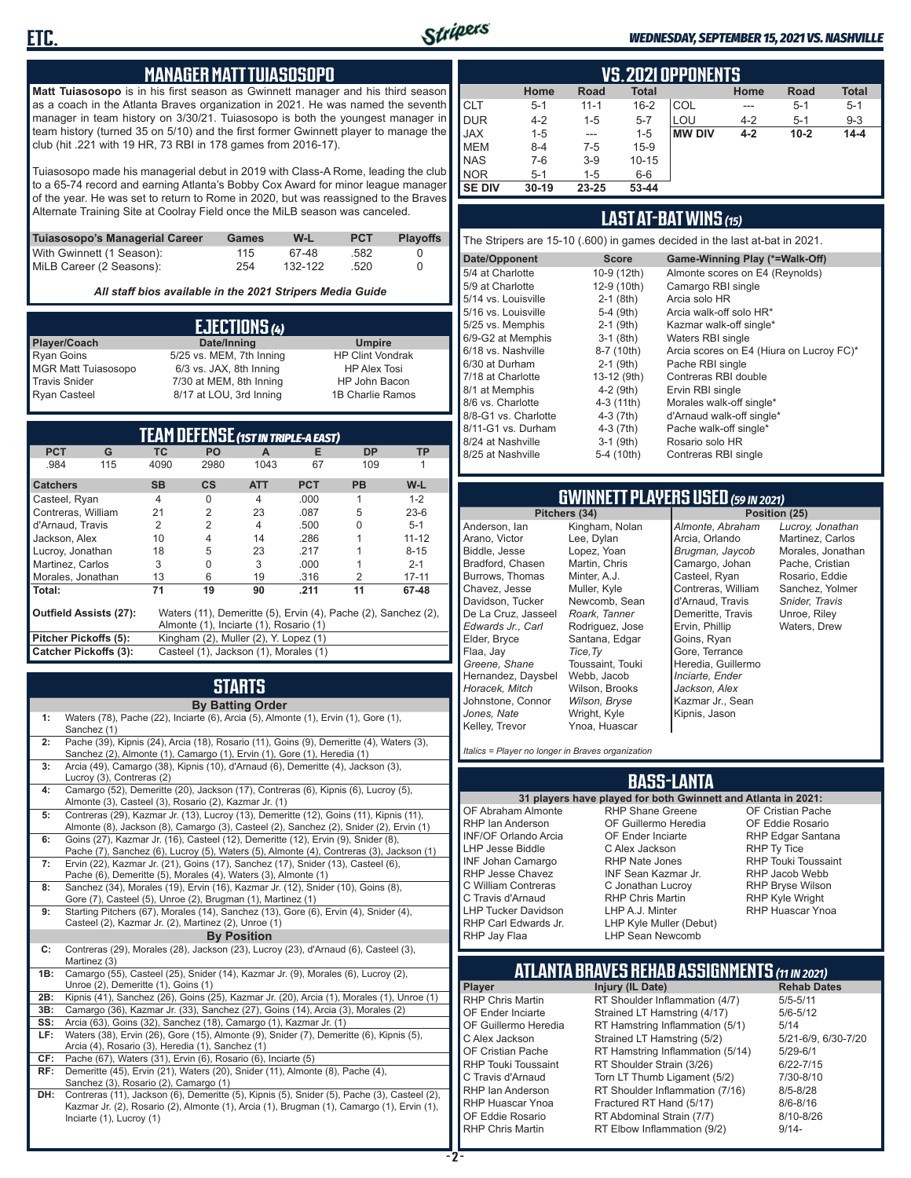

#### *WEDNESDAY, SEPTEMBER 15, 2021 VS. NASHVILLE*

### **MANAGER MATT TUIASOSOPO**

**Matt Tuiasosopo** is in his first season as Gwinnett manager and his third season as a coach in the Atlanta Braves organization in 2021. He was named the seventh manager in team history on 3/30/21. Tuiasosopo is both the youngest manager in team history (turned 35 on 5/10) and the first former Gwinnett player to manage the club (hit .221 with 19 HR, 73 RBI in 178 games from 2016-17).

Tuiasosopo made his managerial debut in 2019 with Class-A Rome, leading the club to a 65-74 record and earning Atlanta's Bobby Cox Award for minor league manager of the year. He was set to return to Rome in 2020, but was reassigned to the Braves Alternate Training Site at Coolray Field once the MiLB season was canceled.

| Tuiasosopo's Managerial Career | Games | W-L     | <b>PCT</b> | <b>Plavoffs</b> |
|--------------------------------|-------|---------|------------|-----------------|
| With Gwinnett (1 Season):      | 115   | 67-48   | .582       |                 |
| MiLB Career (2 Seasons):       | 254   | 132-122 | .520       |                 |

*All staff bios available in the 2021 Stripers Media Guide*

| EJECTIONS (4)              |                          |                         |  |  |  |
|----------------------------|--------------------------|-------------------------|--|--|--|
| Player/Coach               | Date/Inning              | <b>Umpire</b>           |  |  |  |
| <b>Ryan Goins</b>          | 5/25 vs. MEM, 7th Inning | <b>HP Clint Vondrak</b> |  |  |  |
| <b>MGR Matt Tuiasosopo</b> | 6/3 vs. JAX, 8th Inning  | <b>HP Alex Tosi</b>     |  |  |  |
| <b>Travis Snider</b>       | 7/30 at MEM, 8th Inning  | HP John Bacon           |  |  |  |
| <b>Ryan Casteel</b>        | 8/17 at LOU, 3rd Inning  | 1B Charlie Ramos        |  |  |  |

| <b>TEAM DEFENSE (1ST IN TRIPLE-A EAST)</b>                                                      |                |                                        |                |            |               |           |
|-------------------------------------------------------------------------------------------------|----------------|----------------------------------------|----------------|------------|---------------|-----------|
| <b>PCT</b><br>G                                                                                 | <b>TC</b>      | PO                                     | A              | Е          | <b>DP</b>     | TP        |
| .984<br>115                                                                                     | 4090           | 2980                                   | 1043           | 67         | 109           |           |
| <b>Catchers</b>                                                                                 | <b>SB</b>      | $\mathsf{cs}$                          | <b>ATT</b>     | <b>PCT</b> | <b>PB</b>     | W-L       |
| Casteel, Ryan                                                                                   | $\overline{4}$ | $\Omega$                               | $\overline{4}$ | .000       | 1             | $1 - 2$   |
| Contreras, William                                                                              | 21             | $\overline{2}$                         | 23             | .087       | 5             | $23-6$    |
| d'Arnaud, Travis                                                                                | $\mathfrak{p}$ | $\mathfrak{p}$                         | $\overline{4}$ | .500       | 0             | $5 - 1$   |
| Jackson, Alex                                                                                   | 10             | $\overline{4}$                         | 14             | .286       |               | $11 - 12$ |
| Lucroy, Jonathan                                                                                | 18             | 5                                      | 23             | .217       |               | $8 - 15$  |
| Martinez, Carlos                                                                                | 3              | $\Omega$                               | 3              | .000       |               | $2 - 1$   |
| Morales, Jonathan                                                                               | 13             | 6                                      | 19             | .316       | $\mathcal{P}$ | $17 - 11$ |
| Total:                                                                                          | 71             | 19                                     | 90             | .211       | 11            | 67-48     |
| Waters (11), Demeritte (5), Ervin (4), Pache (2), Sanchez (2),<br><b>Outfield Assists (27):</b> |                |                                        |                |            |               |           |
|                                                                                                 |                | Almonte (1), Inciarte (1), Rosario (1) |                |            |               |           |
| Pitcher Pickoffs (5):                                                                           |                | Kingham (2), Muller (2), Y. Lopez (1)  |                |            |               |           |
| <b>Catcher Pickoffs (3):</b>                                                                    |                | Casteel (1), Jackson (1), Morales (1)  |                |            |               |           |

# **STARTS**

|     | <b>By Batting Order</b>                                                                                                                                                          |
|-----|----------------------------------------------------------------------------------------------------------------------------------------------------------------------------------|
| 1:  | Waters (78), Pache (22), Inciarte (6), Arcia (5), Almonte (1), Ervin (1), Gore (1),<br>Sanchez (1)                                                                               |
| 2:  | Pache (39), Kipnis (24), Arcia (18), Rosario (11), Goins (9), Demeritte (4), Waters (3),<br>Sanchez (2), Almonte (1), Camargo (1), Ervin (1), Gore (1), Heredia (1)              |
| 3:  | Arcia (49), Camargo (38), Kipnis (10), d'Arnaud (6), Demeritte (4), Jackson (3),<br>Lucroy (3), Contreras (2)                                                                    |
| 4:  | Camargo (52), Demeritte (20), Jackson (17), Contreras (6), Kipnis (6), Lucroy (5),<br>Almonte (3), Casteel (3), Rosario (2), Kazmar Jr. (1)                                      |
| 5:  | Contreras (29), Kazmar Jr. (13), Lucroy (13), Demeritte (12), Goins (11), Kipnis (11),<br>Almonte (8), Jackson (8), Camargo (3), Casteel (2), Sanchez (2), Snider (2), Ervin (1) |
| 6:  | Goins (27), Kazmar Jr. (16), Casteel (12), Demeritte (12), Ervin (9), Snider (8),<br>Pache (7), Sanchez (6), Lucroy (5), Waters (5), Almonte (4), Contreras (3), Jackson (1)     |
| 7:  | Ervin (22), Kazmar Jr. (21), Goins (17), Sanchez (17), Snider (13), Casteel (6),<br>Pache (6), Demeritte (5), Morales (4), Waters (3), Almonte (1)                               |
| 8:  | Sanchez (34), Morales (19), Ervin (16), Kazmar Jr. (12), Snider (10), Goins (8),<br>Gore (7), Casteel (5), Unroe (2), Brugman (1), Martinez (1)                                  |
| 9:  | Starting Pitchers (67), Morales (14), Sanchez (13), Gore (6), Ervin (4), Snider (4),<br>Casteel (2), Kazmar Jr. (2), Martinez (2), Unroe (1)                                     |
|     | <b>By Position</b>                                                                                                                                                               |
| C:  | Contreras (29), Morales (28), Jackson (23), Lucroy (23), d'Arnaud (6), Casteel (3),<br>Martinez (3)                                                                              |
| 1B: | Camargo (55), Casteel (25), Snider (14), Kazmar Jr. (9), Morales (6), Lucroy (2),<br>Unroe (2), Demeritte (1), Goins (1)                                                         |
| 2B: | Kipnis (41), Sanchez (26), Goins (25), Kazmar Jr. (20), Arcia (1), Morales (1), Unroe (1)                                                                                        |
| 3B: | Camargo (36), Kazmar Jr. (33), Sanchez (27), Goins (14), Arcia (3), Morales (2)                                                                                                  |
| SS: | Arcia (63), Goins (32), Sanchez (18), Camargo (1), Kazmar Jr. (1)                                                                                                                |
| LF: | Waters (38), Ervin (26), Gore (15), Almonte (9), Snider (7), Demeritte (6), Kipnis (5),<br>Arcia (4), Rosario (3), Heredia (1), Sanchez (1)                                      |
| CF: | Pache (67), Waters (31), Ervin (6), Rosario (6), Inciarte (5)                                                                                                                    |
| RF: | Demeritte (45), Ervin (21), Waters (20), Snider (11), Almonte (8), Pache (4),<br>Sanchez (3), Rosario (2), Camargo (1)                                                           |
| DH: | Contreras (11), Jackson (6), Demeritte (5), Kipnis (5), Snider (5), Pache (3), Casteel (2)                                                                                       |

**DH:** Contreras (11), Jackson (6), Demeritte (5), Kipnis (5), Snider (5), Pache (3), Casteel (2), Kazmar Jr. (2), Rosario (2), Almonte (1), Arcia (1), Brugman (1), Camargo (1), Ervin (1), Inciarte (1), Lucroy (1)

|               | <b>VS.2021 OPPONENTS</b> |             |              |               |         |          |              |  |  |  |  |  |  |
|---------------|--------------------------|-------------|--------------|---------------|---------|----------|--------------|--|--|--|--|--|--|
|               | Home                     | <b>Road</b> | <b>Total</b> |               | Home    | Road     | <b>Total</b> |  |  |  |  |  |  |
| <b>CLT</b>    | $5 - 1$                  | $11 - 1$    | $16 - 2$     | COL           | ---     | $5 - 1$  | $5 - 1$      |  |  |  |  |  |  |
| <b>DUR</b>    | $4 - 2$                  | $1 - 5$     | $5 - 7$      | LOU           | $4 - 2$ | $5 - 1$  | $9 - 3$      |  |  |  |  |  |  |
| <b>JAX</b>    | $1 - 5$                  | $- - -$     | $1 - 5$      | <b>MW DIV</b> | $4 - 2$ | $10 - 2$ | $14 - 4$     |  |  |  |  |  |  |
| <b>MEM</b>    | $8 - 4$                  | $7-5$       | $15-9$       |               |         |          |              |  |  |  |  |  |  |
| <b>NAS</b>    | $7-6$                    | $3-9$       | $10 - 15$    |               |         |          |              |  |  |  |  |  |  |
| <b>NOR</b>    | $5-1$                    | 1-5         | $6-6$        |               |         |          |              |  |  |  |  |  |  |
| <b>SE DIV</b> | $30 - 19$                | 23-25       | 53-44        |               |         |          |              |  |  |  |  |  |  |

### **LAST AT-BAT WINS** *(15)*

The Stripers are 15-10 (.600) in games decided in the last at-bat in 2021.

| Date/Opponent        | <b>Score</b> | Game-Winning Play (*=Walk-Off)           |
|----------------------|--------------|------------------------------------------|
| 5/4 at Charlotte     | 10-9 (12th)  | Almonte scores on E4 (Reynolds)          |
| 5/9 at Charlotte     | 12-9 (10th)  | Camargo RBI single                       |
| 5/14 vs. Louisville  | $2-1$ (8th)  | Arcia solo HR                            |
| 5/16 vs. Louisville  | $5-4$ (9th)  | Arcia walk-off solo HR*                  |
| 5/25 vs. Memphis     | $2-1$ (9th)  | Kazmar walk-off single*                  |
| 6/9-G2 at Memphis    | $3-1$ (8th)  | Waters RBI single                        |
| 6/18 vs. Nashville   | 8-7 (10th)   | Arcia scores on E4 (Hiura on Lucroy FC)* |
| 6/30 at Durham       | $2-1$ (9th)  | Pache RBI single                         |
| 7/18 at Charlotte    | 13-12 (9th)  | Contreras RBI double                     |
| 8/1 at Memphis       | $4-2$ (9th)  | Ervin RBI single                         |
| 8/6 vs. Charlotte    | $4-3(11th)$  | Morales walk-off single*                 |
| 8/8-G1 vs. Charlotte | $4-3(7th)$   | d'Arnaud walk-off single*                |
| 8/11-G1 vs. Durham   | $4-3(7th)$   | Pache walk-off single*                   |
| 8/24 at Nashville    | $3-1$ (9th)  | Rosario solo HR                          |
| 8/25 at Nashville    | 5-4 (10th)   | Contreras RBI single                     |
|                      |              |                                          |

# **GWINNETT PLAYERS USED** *(59 IN 2021)*

**Pitchers (34)** Anderson, Ian Arano, Victor Biddle, Jesse Bradford, Chasen Burrows, Thomas Chavez, Jesse Davidson, Tucker De La Cruz, Jasseel *Edwards Jr., Carl* Elder, Bryce Flaa, Jay *Greene, Shane*  Hernandez, Daysbel *Horacek, Mitch* Johnstone, Connor *Jones, Nate* Kelley, Trevor Kingham, Nolan Lee, Dylan Lopez, Yoan Martin, Chris Minter, A.J. Muller, Kyle Newcomb, Sean *Roark, Tanner* Rodriguez, Jose Santana, Edgar *Tice,Ty* Toussaint, Touki Webb, Jacob Wilson, Brooks *Wilson, Bryse* Wright, Kyle Ynoa, Huascar

*Almonte, Abraham* Arcia, Orlando *Brugman, Jaycob* Camargo, Johan Casteel, Ryan Contreras, William d'Arnaud, Travis Demeritte, Travis Ervin, Phillip Goins, Ryan Gore, Terrance Heredia, Guillermo *Inciarte, Ender Jackson, Alex* Kazmar Jr., Sean Kipnis, Jason

*Lucroy, Jonathan* Martinez, Carlos Morales, Jonathan Pache, Cristian Rosario, Eddie Sanchez, Yolmer *Snider, Travis* Unroe, Riley Waters, Drew

*Italics = Player no longer in Braves organization*

### **BASS-LANTA**

#### OF Abraham Almonte RHP Ian Anderson INF/OF Orlando Arcia RHP Shane Greene OF Guillermo Heredia OF Ender Inciarte

LHP Jesse Biddle INF Johan Camargo RHP Jesse Chavez C William Contreras C Travis d'Arnaud LHP Tucker Davidson RHP Carl Edwards Jr. RHP Jay Flaa

**31 players have played for both Gwinnett and Atlanta in 2021:** C Alex Jackson RHP Nate Jones INF Sean Kazmar Jr. C Jonathan Lucroy RHP Chris Martin LHP A.J. Minter LHP Kyle Muller (Debut) LHP Sean Newcomb

OF Cristian Pache OF Eddie Rosario RHP Edgar Santana RHP Ty Tice RHP Touki Toussaint RHP Jacob Webb RHP Bryse Wilson RHP Kyle Wright RHP Huascar Ynoa

# **ATLANTA BRAVES REHAB ASSIGNMENTS** *(11 IN 2021)*

**Player Injury (IL Date)** 

**- 2 -**

RHP Chris Martin RT Shoulder Inflammation (4/7) 5/5-5/11<br>OF Ender Inciarte Strained LT Hamstring (4/17) 5/6-5/12 OF Ender Inciarte Strained LT Hamstring (4/17)<br>OF Guillermo Heredia RT Hamstring Inflammation (5) RT Hamstring Inflammation (5/1) 5/14 C Alex Jackson Strained LT Hamstring (5/2) 5/21-6/9, 6/30-7/20 OF Cristian Pache RT Hamstring Inflammation (5/14) 5/29-6/1<br>RHP Touki Toussaint RT Shoulder Strain (3/26) 6/22-7/15 RHP Touki Toussaint RT Shoulder Strain (3/26) 6/22-7/15<br>C. Travis d'Arnaud C. Torn LT Thumb Ligament (5/2) 6/10-8/10 Torn LT Thumb Ligament (5/2) RHP Ian Anderson RT Shoulder Inflammation (7/16) 8/5-8/28<br>RHP Huascar Ynoa Fractured RT Hand (5/17) 8/6-8/16 RHP Huascar Ynoa Fractured RT Hand (5/17)<br>OF Eddie Rosario RT Abdominal Strain (7/7) RT Abdominal Strain (7/7) 8/10-8/26 RHP Chris Martin **RT Elbow Inflammation (9/2)** 9/14-

**ETC.**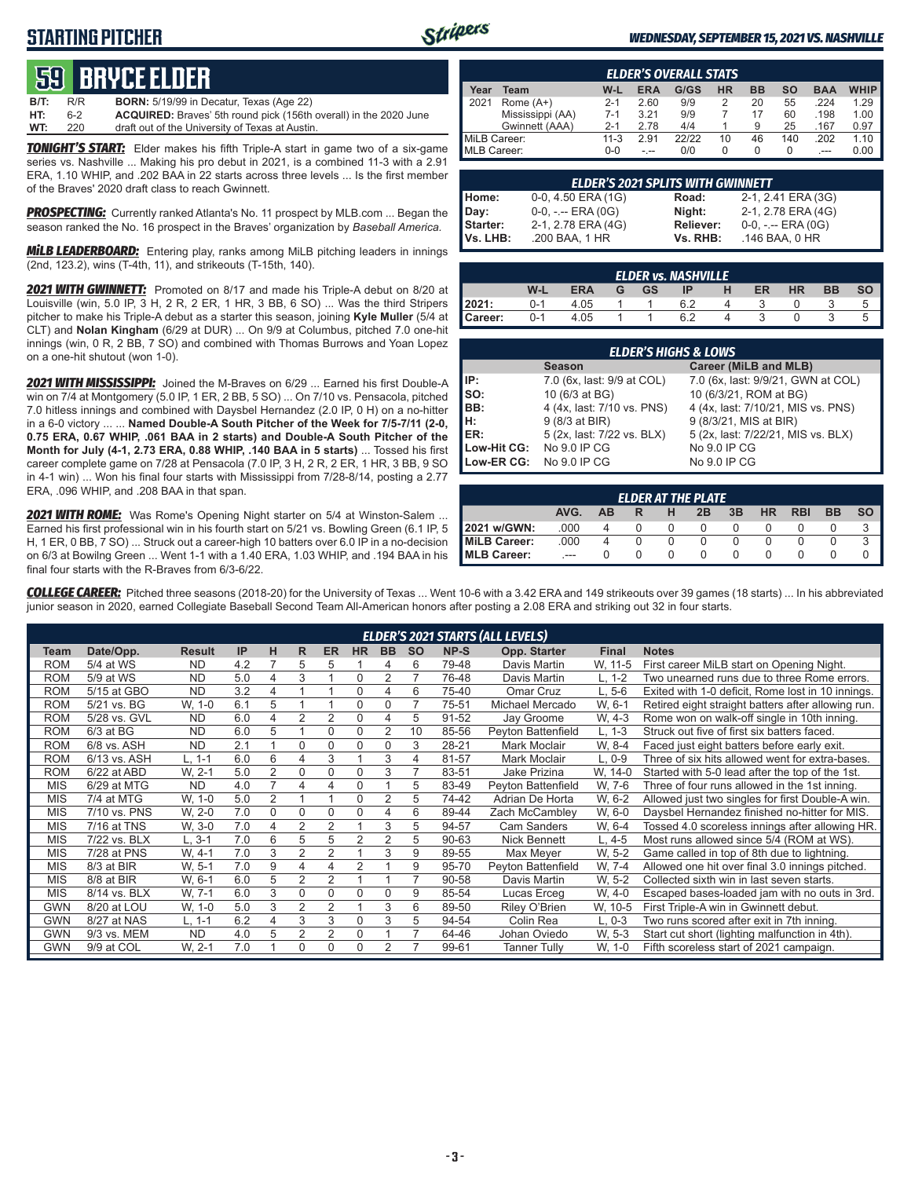## **STARTING PITCHER**



#### *WEDNESDAY, SEPTEMBER 15, 2021 VS. NASHVILLE*

# **59****bryce elder**

| WT:         | 220 | draft out of the University of Texas at Austin.                          |
|-------------|-----|--------------------------------------------------------------------------|
| HT:         | հ-2 | <b>ACQUIRED:</b> Braves' 5th round pick (156th overall) in the 2020 June |
| <b>B/T:</b> | R/R | <b>BORN:</b> 5/19/99 in Decatur, Texas (Age 22)                          |

*TONIGHT'S START:* Elder makes his fifth Triple-A start in game two of a six-game series vs. Nashville ... Making his pro debut in 2021, is a combined 11-3 with a 2.91 ERA, 1.10 WHIP, and .202 BAA in 22 starts across three levels ... Is the first member of the Braves' 2020 draft class to reach Gwinnett.

*PROSPECTING:* Currently ranked Atlanta's No. 11 prospect by MLB.com ... Began the season ranked the No. 16 prospect in the Braves' organization by *Baseball America.*

*MiLB LEADERBOARD:* Entering play, ranks among MiLB pitching leaders in innings (2nd, 123.2), wins (T-4th, 11), and strikeouts (T-15th, 140).

*2021 WITH GWINNETT:* Promoted on 8/17 and made his Triple-A debut on 8/20 at Louisville (win, 5.0 IP, 3 H, 2 R, 2 ER, 1 HR, 3 BB, 6 SO) ... Was the third Stripers pitcher to make his Triple-A debut as a starter this season, joining **Kyle Muller** (5/4 at CLT) and **Nolan Kingham** (6/29 at DUR) ... On 9/9 at Columbus, pitched 7.0 one-hit innings (win, 0 R, 2 BB, 7 SO) and combined with Thomas Burrows and Yoan Lopez on a one-hit shutout (won 1-0).

*2021 WITH MISSISSIPPI:* Joined the M-Braves on 6/29 ... Earned his first Double-A win on 7/4 at Montgomery (5.0 IP, 1 ER, 2 BB, 5 SO) ... On 7/10 vs. Pensacola, pitched 7.0 hitless innings and combined with Daysbel Hernandez (2.0 IP, 0 H) on a no-hitter in a 6-0 victory ... ... **Named Double-A South Pitcher of the Week for 7/5-7/11 (2-0, 0.75 ERA, 0.67 WHIP, .061 BAA in 2 starts) and Double-A South Pitcher of the Month for July (4-1, 2.73 ERA, 0.88 WHIP, .140 BAA in 5 starts)** ... Tossed his first career complete game on 7/28 at Pensacola (7.0 IP, 3 H, 2 R, 2 ER, 1 HR, 3 BB, 9 SO in 4-1 win) ... Won his final four starts with Mississippi from 7/28-8/14, posting a 2.77 ERA, .096 WHIP, and .208 BAA in that span.

*2021 WITH ROME:* Was Rome's Opening Night starter on 5/4 at Winston-Salem ... Earned his first professional win in his fourth start on 5/21 vs. Bowling Green (6.1 IP, 5 H, 1 ER, 0 BB, 7 SO) ... Struck out a career-high 10 batters over 6.0 IP in a no-decision on 6/3 at Bowilng Green ... Went 1-1 with a 1.40 ERA, 1.03 WHIP, and .194 BAA in his final four starts with the R-Braves from 6/3-6/22.

|                    | <b>ELDER'S OVERALL STATS</b> |          |            |       |           |           |     |            |             |  |  |  |  |
|--------------------|------------------------------|----------|------------|-------|-----------|-----------|-----|------------|-------------|--|--|--|--|
| Year               | Team                         | W-L      | <b>ERA</b> | G/GS  | <b>HR</b> | <b>BB</b> | SΟ  | <b>BAA</b> | <b>WHIP</b> |  |  |  |  |
| 2021               | Rome $(A+)$                  | $2 - 1$  | 2.60       | 9/9   |           | 20        | 55  | 224        | 1.29        |  |  |  |  |
|                    | Mississippi (AA)             | $7-1$    | 3.21       | 9/9   |           | 17        | 60  | .198       | 1.00        |  |  |  |  |
|                    | Gwinnett (AAA)               | $2 - 1$  | 2.78       | 4/4   |           | 9         | 25  | .167       | 0.97        |  |  |  |  |
| MiLB Career:       |                              | $11 - 3$ | 2.91       | 22122 | 10        | 46        | 140 | .202       | 1.10        |  |  |  |  |
| <b>MLB Career:</b> |                              | ი-ი      | - --       | 0/0   | O         | 0         | 0   | $---$      | 0.00        |  |  |  |  |

|          | <b>ELDER'S 2021 SPLITS WITH GWINNETT</b> |                  |                       |  |  |  |  |  |  |  |  |
|----------|------------------------------------------|------------------|-----------------------|--|--|--|--|--|--|--|--|
| Home:    | 0-0, 4.50 ERA (1G)                       | Road:            | 2-1, 2.41 ERA (3G)    |  |  |  |  |  |  |  |  |
| Day:     | $0-0, - -$ ERA $(0G)$                    | Night:           | 2-1, 2.78 ERA (4G)    |  |  |  |  |  |  |  |  |
| Starter: | 2-1, 2.78 ERA (4G)                       | <b>Reliever:</b> | $0-0, - -$ ERA $(0G)$ |  |  |  |  |  |  |  |  |
| Vs. LHB: | .200 BAA, 1 HR                           | Vs. RHB:         | .146 BAA, 0 HR        |  |  |  |  |  |  |  |  |

|         | <b>ELDER vs. NASHVILLE</b> |            |   |    |    |  |    |           |           |           |  |  |  |  |
|---------|----------------------------|------------|---|----|----|--|----|-----------|-----------|-----------|--|--|--|--|
|         | W-L                        | <b>ERA</b> | G | GS | ΙP |  | ER | <b>HR</b> | <b>BB</b> | <b>SO</b> |  |  |  |  |
| 2021:   | $0 - 1$                    | 4.05       |   |    |    |  |    |           |           |           |  |  |  |  |
| Career: | $0 - 1$                    | 4.05       |   |    |    |  |    |           |           |           |  |  |  |  |

|             | <b>ELDER'S HIGHS &amp; LOWS</b> |                                    |  |  |  |  |  |  |  |  |  |
|-------------|---------------------------------|------------------------------------|--|--|--|--|--|--|--|--|--|
|             | <b>Season</b>                   | Career (MiLB and MLB)              |  |  |  |  |  |  |  |  |  |
| IP:         | 7.0 (6x, last: 9/9 at COL)      | 7.0 (6x, last: 9/9/21, GWN at COL) |  |  |  |  |  |  |  |  |  |
| $\vert$ so: | 10 (6/3 at BG)                  | 10 (6/3/21, ROM at BG)             |  |  |  |  |  |  |  |  |  |
| BB:         | 4 (4x, last: 7/10 vs. PNS)      | 4 (4x, last: 7/10/21, MIS vs. PNS) |  |  |  |  |  |  |  |  |  |
| Iн:         | 9 (8/3 at BIR)                  | 9 (8/3/21, MIS at BIR)             |  |  |  |  |  |  |  |  |  |
| <b>IER:</b> | 5 (2x, last: 7/22 vs. BLX)      | 5 (2x, last: 7/22/21, MIS vs. BLX) |  |  |  |  |  |  |  |  |  |
| Low-Hit CG: | No 9.0 IP CG                    | No 9.0 IP CG                       |  |  |  |  |  |  |  |  |  |
| Low-ER CG:  | No 9.0 IP CG                    | No 9.0 IP CG                       |  |  |  |  |  |  |  |  |  |

|                                                              | <b>ELDER AT THE PLATE</b> |  |  |  |  |  |  |  |  |  |  |  |  |  |
|--------------------------------------------------------------|---------------------------|--|--|--|--|--|--|--|--|--|--|--|--|--|
| AVG.<br><b>BB</b><br>3B<br><b>RBI</b><br>HR<br>ΔR<br>н<br>2B |                           |  |  |  |  |  |  |  |  |  |  |  |  |  |
| 2021 w/GWN:                                                  | .000                      |  |  |  |  |  |  |  |  |  |  |  |  |  |
| MiLB Career:                                                 | .000                      |  |  |  |  |  |  |  |  |  |  |  |  |  |
| <b>IMLB Career:</b>                                          | ---                       |  |  |  |  |  |  |  |  |  |  |  |  |  |

*COLLEGE CAREER:* Pitched three seasons (2018-20) for the University of Texas ... Went 10-6 with a 3.42 ERA and 149 strikeouts over 39 games (18 starts) ... In his abbreviated junior season in 2020, earned Collegiate Baseball Second Team All-American honors after posting a 2.08 ERA and striking out 32 in four starts.

|            | <b>ELDER'S 2021 STARTS (ALL LEVELS)</b> |               |     |                |   |                |                |                |           |       |                     |              |                                                    |  |
|------------|-----------------------------------------|---------------|-----|----------------|---|----------------|----------------|----------------|-----------|-------|---------------------|--------------|----------------------------------------------------|--|
| Team       | Date/Opp.                               | <b>Result</b> | IP  | н              | R | <b>ER</b>      | <b>HR</b>      | <b>BB</b>      | <b>SO</b> | NP-S  | Opp. Starter        | <b>Final</b> | <b>Notes</b>                                       |  |
| ROM        | 5/4 at WS                               | <b>ND</b>     | 4.2 |                | 5 | 5              |                | 4              | 6         | 79-48 | Davis Martin        | W, 11-5      | First career MiLB start on Opening Night.          |  |
| ROM        | 5/9 at WS                               | <b>ND</b>     | 5.0 | 4              | 3 |                | 0              | 2              |           | 76-48 | Davis Martin        | L. 1-2       | Two unearned runs due to three Rome errors.        |  |
| ROM        | 5/15 at GBO                             | <b>ND</b>     | 3.2 | 4              |   |                | $\Omega$       | 4              | 6         | 75-40 | Omar Cruz           | L. 5-6       | Exited with 1-0 deficit, Rome lost in 10 innings.  |  |
| <b>ROM</b> | 5/21 vs. BG                             | W, 1-0        | 6.1 | 5              |   |                | $\Omega$       | 0              | 7         | 75-51 | Michael Mercado     | W, 6-1       | Retired eight straight batters after allowing run. |  |
| <b>ROM</b> | 5/28 vs. GVL                            | <b>ND</b>     | 6.0 | 4              | 2 | $\overline{2}$ | $\Omega$       | 4              | 5         | 91-52 | Jay Groome          | W, 4-3       | Rome won on walk-off single in 10th inning.        |  |
| <b>ROM</b> | $6/3$ at BG                             | <b>ND</b>     | 6.0 | 5              |   | $\Omega$       | $\Omega$       | 2              | 10        | 85-56 | Peyton Battenfield  | L. 1-3       | Struck out five of first six batters faced.        |  |
| <b>ROM</b> | 6/8 vs. ASH                             | <b>ND</b>     | 2.1 | 4              | 0 | $\Omega$       | $\Omega$       | 0              | 3         | 28-21 | Mark Moclair        | W. 8-4       | Faced just eight batters before early exit.        |  |
| <b>ROM</b> | 6/13 vs. ASH                            | L. 1-1        | 6.0 | 6              | 4 | 3              |                | 3              | 4         | 81-57 | Mark Moclair        | L, 0-9       | Three of six hits allowed went for extra-bases.    |  |
| <b>ROM</b> | 6/22 at ABD                             | W. 2-1        | 5.0 | 2              | 0 | $\Omega$       | $\Omega$       | 3              | 7         | 83-51 | Jake Prizina        | W. 14-0      | Started with 5-0 lead after the top of the 1st.    |  |
| <b>MIS</b> | 6/29 at MTG                             | <b>ND</b>     | 4.0 | 7              | 4 | 4              | 0              |                | 5         | 83-49 | Peyton Battenfield  | W, 7-6       | Three of four runs allowed in the 1st inning.      |  |
| <b>MIS</b> | 7/4 at MTG                              | W, 1-0        | 5.0 | $\overline{2}$ |   |                | $\Omega$       | $\overline{2}$ | 5         | 74-42 | Adrian De Horta     | W. 6-2       | Allowed just two singles for first Double-A win.   |  |
| <b>MIS</b> | 7/10 vs. PNS                            | W, 2-0        | 7.0 | 0              | 0 | $\Omega$       | $\Omega$       | 4              | 6         | 89-44 | Zach McCambley      | W, 6-0       | Daysbel Hernandez finished no-hitter for MIS.      |  |
| <b>MIS</b> | 7/16 at TNS                             | W. 3-0        | 7.0 | 4              | 2 | $\overline{2}$ |                | 3              | 5         | 94-57 | <b>Cam Sanders</b>  | W. 6-4       | Tossed 4.0 scoreless innings after allowing HR.    |  |
| MIS        | 7/22 vs. BLX                            | L. 3-1        | 7.0 | 6              | 5 | 5              | $\overline{2}$ | 2              | 5         | 90-63 | Nick Bennett        | L. 4-5       | Most runs allowed since 5/4 (ROM at WS).           |  |
| <b>MIS</b> | 7/28 at PNS                             | W, 4-1        | 7.0 | 3              | 2 | $\overline{2}$ |                | 3              | 9         | 89-55 | Max Meyer           | W. 5-2       | Game called in top of 8th due to lightning.        |  |
| <b>MIS</b> | 8/3 at BIR                              | W, 5-1        | 7.0 | 9              | 4 | 4              | $\overline{2}$ |                | 9         | 95-70 | Peyton Battenfield  | W. 7-4       | Allowed one hit over final 3.0 innings pitched.    |  |
| MIS        | 8/8 at BIR                              | W, 6-1        | 6.0 | 5              | 2 | $\overline{2}$ |                |                | 7         | 90-58 | Davis Martin        | W. 5-2       | Collected sixth win in last seven starts.          |  |
| MIS        | 8/14 vs. BLX                            | W. 7-1        | 6.0 | 3              | 0 | $\Omega$       | $\Omega$       | $\Omega$       | 9         | 85-54 | Lucas Erceg         | W, 4-0       | Escaped bases-loaded jam with no outs in 3rd.      |  |
| <b>GWN</b> | 8/20 at LOU                             | W, 1-0        | 5.0 | 3              | 2 | $\overline{2}$ |                | 3              | 6         | 89-50 | Riley O'Brien       | W, 10-5      | First Triple-A win in Gwinnett debut.              |  |
| GWN        | 8/27 at NAS                             | L. 1-1        | 6.2 | 4              | 3 | 3              | $\Omega$       | 3              | 5         | 94-54 | Colin Rea           | L. 0-3       | Two runs scored after exit in 7th inning.          |  |
| <b>GWN</b> | 9/3 vs. MEM                             | <b>ND</b>     | 4.0 | 5              | 2 | 2              | $\Omega$       |                | 7         | 64-46 | Johan Oviedo        | W. 5-3       | Start cut short (lighting malfunction in 4th).     |  |
| <b>GWN</b> | 9/9 at COL                              | W. 2-1        | 7.0 |                | 0 | $\Omega$       | 0              | 2              |           | 99-61 | <b>Tanner Tully</b> | W, 1-0       | Fifth scoreless start of 2021 campaign.            |  |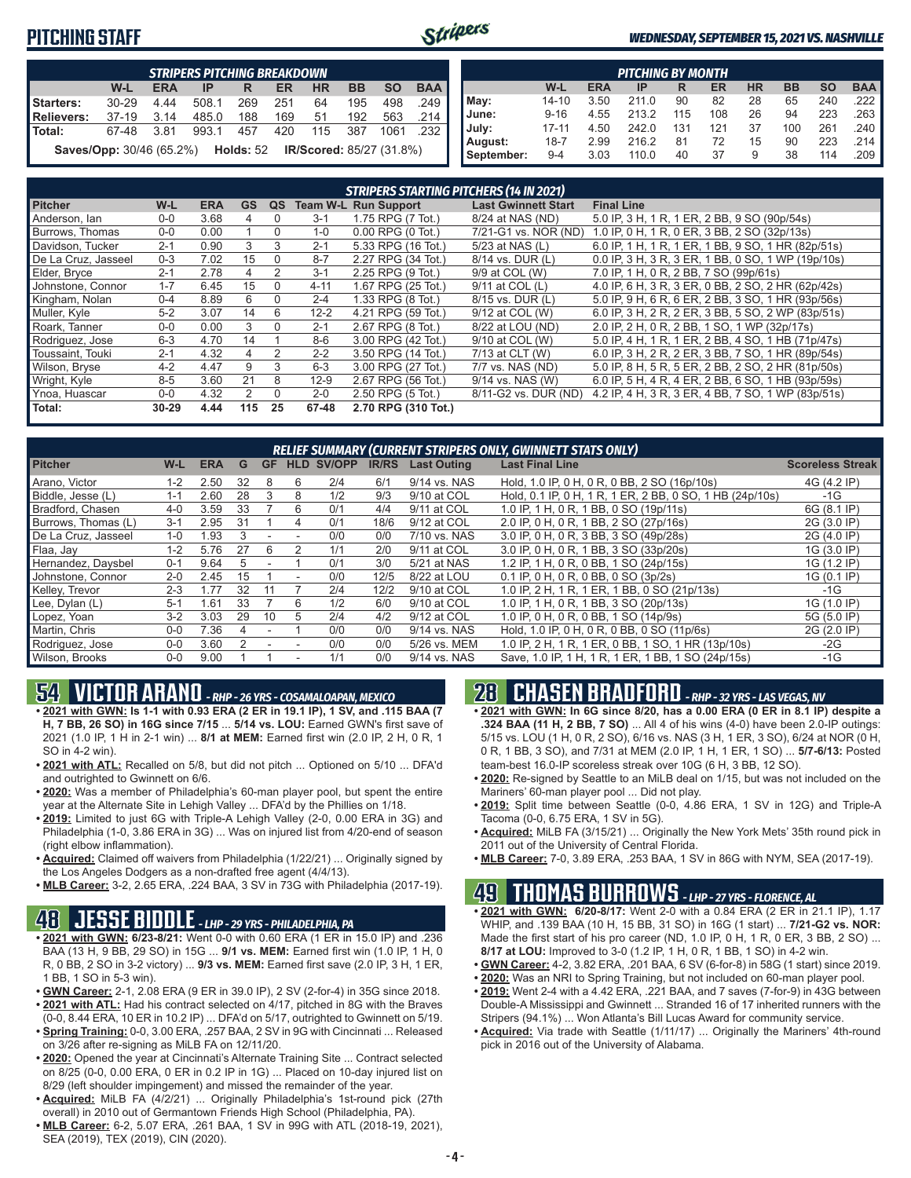## **PITCHING STAFF**



#### *WEDNESDAY, SEPTEMBER 15, 2021 VS. NASHVILLE*

|                                                                                  | <b>STRIPERS PITCHING BREAKDOWN</b>                                                  |      |       |     |     |     |     |      |                       |  |  |  |  |
|----------------------------------------------------------------------------------|-------------------------------------------------------------------------------------|------|-------|-----|-----|-----|-----|------|-----------------------|--|--|--|--|
| <b>BAA</b><br><b>BB</b><br>W-L<br><b>SO</b><br>HR<br><b>ERA</b><br>ER<br>IP<br>R |                                                                                     |      |       |     |     |     |     |      |                       |  |  |  |  |
| Starters:                                                                        | $30 - 29$                                                                           | 4.44 | 508.1 | 269 | 251 | 64  | 195 | 498  | .249                  |  |  |  |  |
| Relievers:                                                                       | $37-19$                                                                             | 3.14 | 485.0 | 188 | 169 | 51  | 192 | 563  | .214                  |  |  |  |  |
| l Total:                                                                         | 67-48                                                                               | 3.81 | 993.1 | 457 | 420 | 115 | 387 | 1061 | $.232$ $\blacksquare$ |  |  |  |  |
|                                                                                  | <b>IR/Scored: 85/27 (31.8%)</b><br><b>Saves/Opp:</b> 30/46 (65.2%) <b>Holds:</b> 52 |      |       |     |     |     |     |      |                       |  |  |  |  |

|            | <b>PITCHING BY MONTH</b> |            |       |     |     |           |           |           |                       |  |  |  |
|------------|--------------------------|------------|-------|-----|-----|-----------|-----------|-----------|-----------------------|--|--|--|
|            | W-L                      | <b>ERA</b> | IP    | R   | ER  | <b>HR</b> | <b>BB</b> | <b>SO</b> | <b>BAA</b>            |  |  |  |
| May:       | $14 - 10$                | 3.50       | 211.0 | 90  | 82  | 28        | 65        | 240       | .222 I                |  |  |  |
| June:      | $9 - 16$                 | 4.55       | 213.2 | 115 | 108 | 26        | 94        | 223       | $.263$ $\blacksquare$ |  |  |  |
| July:      | $17 - 11$                | 4.50       | 242.0 | 131 | 121 | 37        | 100       | 261       | .240                  |  |  |  |
| August:    | $18 - 7$                 | 2.99       | 216.2 | 81  | 72  | 15        | 90        | 223       | .214 I                |  |  |  |
| September: | $9 - 4$                  | 3.03       | 110.0 | 40  | 37  | 9         | 38        | 114       | .209                  |  |  |  |

|                     |           |            |               |                |          | <b>STRIPERS STARTING PITCHERS (14 IN 2021)</b> |                            |                                                    |
|---------------------|-----------|------------|---------------|----------------|----------|------------------------------------------------|----------------------------|----------------------------------------------------|
| <b>Pitcher</b>      | W-L       | <b>ERA</b> | <b>GS</b>     | QS             |          | <b>Team W-L Run Support</b>                    | <b>Last Gwinnett Start</b> | <b>Final Line</b>                                  |
| Anderson, Ian       | $0 - 0$   | 3.68       | 4             | $\Omega$       | $3 - 1$  | 1.75 RPG (7 Tot.)                              | 8/24 at NAS (ND)           | 5.0 IP, 3 H, 1 R, 1 ER, 2 BB, 9 SO (90p/54s)       |
| Burrows, Thomas     | $0-0$     | 0.00       |               | $\Omega$       | $1 - 0$  | $0.00$ RPG $(0$ Tot.)                          | 7/21-G1 vs. NOR (ND)       | 1.0 IP, 0 H, 1 R, 0 ER, 3 BB, 2 SO (32p/13s)       |
| Davidson, Tucker    | $2 - 1$   | 0.90       | 3             | 3              | $2 - 1$  | 5.33 RPG (16 Tot.)                             | 5/23 at NAS (L)            | 6.0 IP, 1 H, 1 R, 1 ER, 1 BB, 9 SO, 1 HR (82p/51s) |
| De La Cruz, Jasseel | $0 - 3$   | 7.02       | 15            | $\Omega$       | $8 - 7$  | 2.27 RPG (34 Tot.)                             | 8/14 vs. DUR (L)           | 0.0 IP, 3 H, 3 R, 3 ER, 1 BB, 0 SO, 1 WP (19p/10s) |
| Elder, Bryce        | $2 - 1$   | 2.78       | 4             | 2              | $3 - 1$  | 2.25 RPG (9 Tot.)                              | 9/9 at COL (W)             | 7.0 IP, 1 H, 0 R, 2 BB, 7 SO (99p/61s)             |
| Johnstone, Connor   | $1 - 7$   | 6.45       | 15            | $\Omega$       | $4 - 11$ | 1.67 RPG (25 Tot.)                             | 9/11 at COL (L)            | 4.0 IP, 6 H, 3 R, 3 ER, 0 BB, 2 SO, 2 HR (62p/42s) |
| Kingham, Nolan      | $0 - 4$   | 8.89       | 6             | 0              | $2 - 4$  | 1.33 RPG (8 Tot.)                              | 8/15 vs. DUR (L)           | 5.0 IP, 9 H, 6 R, 6 ER, 2 BB, 3 SO, 1 HR (93p/56s) |
| Muller, Kyle        | $5-2$     | 3.07       | 14            | 6              | $12 - 2$ | 4.21 RPG (59 Tot.)                             | 9/12 at COL (W)            | 6.0 IP, 3 H, 2 R, 2 ER, 3 BB, 5 SO, 2 WP (83p/51s) |
| Roark, Tanner       | $0-0$     | 0.00       | 3             | $\Omega$       | $2 - 1$  | 2.67 RPG (8 Tot.)                              | 8/22 at LOU (ND)           | 2.0 IP, 2 H, 0 R, 2 BB, 1 SO, 1 WP (32p/17s)       |
| Rodriguez, Jose     | $6 - 3$   | 4.70       | 14            |                | $8 - 6$  | 3.00 RPG (42 Tot.)                             | 9/10 at COL (W)            | 5.0 IP, 4 H, 1 R, 1 ER, 2 BB, 4 SO, 1 HB (71p/47s) |
| Toussaint. Touki    | $2 - 1$   | 4.32       | 4             | $\mathfrak{D}$ | $2 - 2$  | 3.50 RPG (14 Tot.)                             | 7/13 at CLT (W)            | 6.0 IP, 3 H, 2 R, 2 ER, 3 BB, 7 SO, 1 HR (89p/54s) |
| Wilson, Bryse       | $4 - 2$   | 4.47       | 9             | 3              | $6 - 3$  | 3.00 RPG (27 Tot.)                             | 7/7 vs. NAS (ND)           | 5.0 IP, 8 H, 5 R, 5 ER, 2 BB, 2 SO, 2 HR (81p/50s) |
| Wright, Kyle        | $8 - 5$   | 3.60       | 21            | 8              | $12-9$   | 2.67 RPG (56 Tot.)                             | 9/14 vs. NAS (W)           | 6.0 IP, 5 H, 4 R, 4 ER, 2 BB, 6 SO, 1 HB (93p/59s) |
| Ynoa, Huascar       | $0-0$     | 4.32       | $\mathcal{P}$ | $\Omega$       | $2 - 0$  | 2.50 RPG (5 Tot.)                              | 8/11-G2 vs. DUR (ND)       | 4.2 IP, 4 H, 3 R, 3 ER, 4 BB, 7 SO, 1 WP (83p/51s) |
| Total:              | $30 - 29$ | 4.44       | 115           | 25             | 67-48    | 2.70 RPG (310 Tot.)                            |                            |                                                    |

| RELIEF SUMMARY (CURRENT STRIPERS ONLY, GWINNETT STATS ONLY) |         |            |     |           |   |                   |              |                    |                                                          |                         |  |  |  |  |
|-------------------------------------------------------------|---------|------------|-----|-----------|---|-------------------|--------------|--------------------|----------------------------------------------------------|-------------------------|--|--|--|--|
| <b>Pitcher</b>                                              | W-L     | <b>ERA</b> | G   | <b>GF</b> |   | <b>HLD SV/OPP</b> | <b>IR/RS</b> | <b>Last Outing</b> | <b>Last Final Line</b>                                   | <b>Scoreless Streak</b> |  |  |  |  |
| Arano, Victor                                               | $1 - 2$ | 2.50       | 32  | 8         | 6 | 2/4               | 6/1          | 9/14 vs. NAS       | Hold, 1.0 IP, 0 H, 0 R, 0 BB, 2 SO (16p/10s)             | 4G (4.2 IP)             |  |  |  |  |
| Biddle, Jesse (L)                                           | 1-1     | 2.60       | 28  | 3         | 8 | 1/2               | 9/3          | 9/10 at COL        | Hold, 0.1 IP, 0 H, 1 R, 1 ER, 2 BB, 0 SO, 1 HB (24p/10s) | $-1G$                   |  |  |  |  |
| Bradford, Chasen                                            | $4 - 0$ | 3.59       | 33  |           | 6 | 0/1               | 4/4          | 9/11 at COL        | 1.0 IP, 1 H, 0 R, 1 BB, 0 SO (19p/11s)                   | 6G (8.1 IP)             |  |  |  |  |
| Burrows, Thomas (L)                                         | $3 - 1$ | 2.95       | 31  |           | 4 | 0/1               | 18/6         | 9/12 at COL        | 2.0 IP, 0 H, 0 R, 1 BB, 2 SO (27p/16s)                   | 2G (3.0 IP)             |  |  |  |  |
| De La Cruz, Jasseel                                         | $1 - 0$ | 1.93       |     |           |   | 0/0               | 0/0          | 7/10 vs. NAS       | 3.0 IP, 0 H, 0 R, 3 BB, 3 SO (49p/28s)                   | 2G (4.0 IP)             |  |  |  |  |
| Flaa, Jay                                                   | $1 - 2$ | 5.76       | 27  | 6         |   | 1/1               | 2/0          | 9/11 at COL        | 3.0 IP, 0 H, 0 R, 1 BB, 3 SO (33p/20s)                   | 1G (3.0 IP)             |  |  |  |  |
| Hernandez, Daysbel                                          | $0 - 1$ | 9.64       | 'n. |           |   | 0/1               | 3/0          | 5/21 at NAS        | 1.2 IP, 1 H, 0 R, 0 BB, 1 SO (24p/15s)                   | 1G (1.2 IP)             |  |  |  |  |
| Johnstone, Connor                                           | $2 - 0$ | 2.45       | 15  |           |   | 0/0               | 12/5         | 8/22 at LOU        | 0.1 IP, 0 H, 0 R, 0 BB, 0 SO (3p/2s)                     | 1G (0.1 IP)             |  |  |  |  |
| Kelley, Trevor                                              | $2 - 3$ | 1.77       | 32  |           |   | 2/4               | 12/2         | 9/10 at COL        | 1.0 IP, 2 H, 1 R, 1 ER, 1 BB, 0 SO (21p/13s)             | $-1G$                   |  |  |  |  |
| Lee, Dylan (L)                                              | $5 - 1$ | 1.61       | 33  |           | 6 | 1/2               | 6/0          | 9/10 at COL        | 1.0 IP, 1 H, 0 R, 1 BB, 3 SO (20p/13s)                   | 1G (1.0 IP)             |  |  |  |  |
| Lopez, Yoan                                                 | $3 - 2$ | 3.03       | 29  | 10        | 5 | 2/4               | 4/2          | 9/12 at COL        | 1.0 IP, 0 H, 0 R, 0 BB, 1 SO (14p/9s)                    | 5G (5.0 IP)             |  |  |  |  |
| Martin, Chris                                               | $0 - 0$ | 7.36       |     |           |   | 0/0               | 0/0          | 9/14 vs. NAS       | Hold, 1.0 IP, 0 H, 0 R, 0 BB, 0 SO (11p/6s)              | 2G (2.0 IP)             |  |  |  |  |
| Rodriguez, Jose                                             | $0 - 0$ | 3.60       |     |           |   | 0/0               | 0/0          | 5/26 vs. MEM       | 1.0 IP, 2 H, 1 R, 1 ER, 0 BB, 1 SO, 1 HR (13p/10s)       | $-2G$                   |  |  |  |  |
| Wilson, Brooks                                              | $0-0$   | 9.00       |     |           |   | 1/1               | 0/0          | 9/14 vs. NAS       | Save, 1.0 IP, 1 H, 1 R, 1 ER, 1 BB, 1 SO (24p/15s)       | -1G                     |  |  |  |  |

# **54 VICTOR ARANO** *- RHP - 26 YRS - COSAMALOAPAN, MEXICO*

- **• 2021 with GWN: Is 1-1 with 0.93 ERA (2 ER in 19.1 IP), 1 SV, and .115 BAA (7 H, 7 BB, 26 SO) in 16G since 7/15** ... **5/14 vs. LOU:** Earned GWN's first save of 2021 (1.0 IP, 1 H in 2-1 win) ... **8/1 at MEM:** Earned first win (2.0 IP, 2 H, 0 R, 1 SO in 4-2 win).
- **• 2021 with ATL:** Recalled on 5/8, but did not pitch ... Optioned on 5/10 ... DFA'd and outrighted to Gwinnett on 6/6.
- **• 2020:** Was a member of Philadelphia's 60-man player pool, but spent the entire year at the Alternate Site in Lehigh Valley ... DFA'd by the Phillies on 1/18.
- **• 2019:** Limited to just 6G with Triple-A Lehigh Valley (2-0, 0.00 ERA in 3G) and Philadelphia (1-0, 3.86 ERA in 3G) ... Was on injured list from 4/20-end of season (right elbow inflammation).
- **• Acquired:** Claimed off waivers from Philadelphia (1/22/21) ... Originally signed by the Los Angeles Dodgers as a non-drafted free agent (4/4/13).
- **• MLB Career:** 3-2, 2.65 ERA, .224 BAA, 3 SV in 73G with Philadelphia (2017-19).

## **48 JESSE BIDDLE** *- LHP - 29 YRS - PHILADELPHIA, PA*

- **• 2021 with GWN: 6/23-8/21:** Went 0-0 with 0.60 ERA (1 ER in 15.0 IP) and .236 BAA (13 H, 9 BB, 29 SO) in 15G ... **9/1 vs. MEM:** Earned first win (1.0 IP, 1 H, 0 R, 0 BB, 2 SO in 3-2 victory) ... **9/3 vs. MEM:** Earned first save (2.0 IP, 3 H, 1 ER, 1 BB, 1 SO in 5-3 win).
- **• GWN Career:** 2-1, 2.08 ERA (9 ER in 39.0 IP), 2 SV (2-for-4) in 35G since 2018. **• 2021 with ATL:** Had his contract selected on 4/17, pitched in 8G with the Braves
- (0-0, 8.44 ERA, 10 ER in 10.2 IP) ... DFA'd on 5/17, outrighted to Gwinnett on 5/19. **• Spring Training:** 0-0, 3.00 ERA, .257 BAA, 2 SV in 9G with Cincinnati ... Released on 3/26 after re-signing as MiLB FA on 12/11/20.
- **• 2020:** Opened the year at Cincinnati's Alternate Training Site ... Contract selected on 8/25 (0-0, 0.00 ERA, 0 ER in 0.2 IP in 1G) ... Placed on 10-day injured list on 8/29 (left shoulder impingement) and missed the remainder of the year.
- **• Acquired:** MiLB FA (4/2/21) ... Originally Philadelphia's 1st-round pick (27th overall) in 2010 out of Germantown Friends High School (Philadelphia, PA).
- **• MLB Career:** 6-2, 5.07 ERA, .261 BAA, 1 SV in 99G with ATL (2018-19, 2021), SEA (2019), TEX (2019), CIN (2020).

# **28 CHASEN BRADFORD** *- RHP - 32 YRS - LAS VEGAS, NV*

- **• 2021 with GWN: In 6G since 8/20, has a 0.00 ERA (0 ER in 8.1 IP) despite a .324 BAA (11 H, 2 BB, 7 SO)** ... All 4 of his wins (4-0) have been 2.0-IP outings: 5/15 vs. LOU (1 H, 0 R, 2 SO), 6/16 vs. NAS (3 H, 1 ER, 3 SO), 6/24 at NOR (0 H, 0 R, 1 BB, 3 SO), and 7/31 at MEM (2.0 IP, 1 H, 1 ER, 1 SO) ... **5/7-6/13:** Posted team-best 16.0-IP scoreless streak over 10G (6 H, 3 BB, 12 SO).
- **• 2020:** Re-signed by Seattle to an MiLB deal on 1/15, but was not included on the Mariners' 60-man player pool ... Did not play.
- **• 2019:** Split time between Seattle (0-0, 4.86 ERA, 1 SV in 12G) and Triple-A Tacoma (0-0, 6.75 ERA, 1 SV in 5G).
- **• Acquired:** MiLB FA (3/15/21) ... Originally the New York Mets' 35th round pick in 2011 out of the University of Central Florida.
- **• MLB Career:** 7-0, 3.89 ERA, .253 BAA, 1 SV in 86G with NYM, SEA (2017-19).

## **49 THOMAS BURROWS** *- LHP - 27 YRS - FLORENCE, AL*

- **• 2021 with GWN: 6/20-8/17:** Went 2-0 with a 0.84 ERA (2 ER in 21.1 IP), 1.17 WHIP, and .139 BAA (10 H, 15 BB, 31 SO) in 16G (1 start) ... **7/21-G2 vs. NOR:** Made the first start of his pro career (ND, 1.0 IP, 0 H, 1 R, 0 ER, 3 BB, 2 SO) .. **8/17 at LOU:** Improved to 3-0 (1.2 IP, 1 H, 0 R, 1 BB, 1 SO) in 4-2 win.
- **• GWN Career:** 4-2, 3.82 ERA, .201 BAA, 6 SV (6-for-8) in 58G (1 start) since 2019.
- **• 2020:** Was an NRI to Spring Training, but not included on 60-man player pool.
- **• 2019:** Went 2-4 with a 4.42 ERA, .221 BAA, and 7 saves (7-for-9) in 43G between Double-A Mississippi and Gwinnett ... Stranded 16 of 17 inherited runners with the Stripers (94.1%) ... Won Atlanta's Bill Lucas Award for community service.
- **• Acquired:** Via trade with Seattle (1/11/17) ... Originally the Mariners' 4th-round pick in 2016 out of the University of Alabama.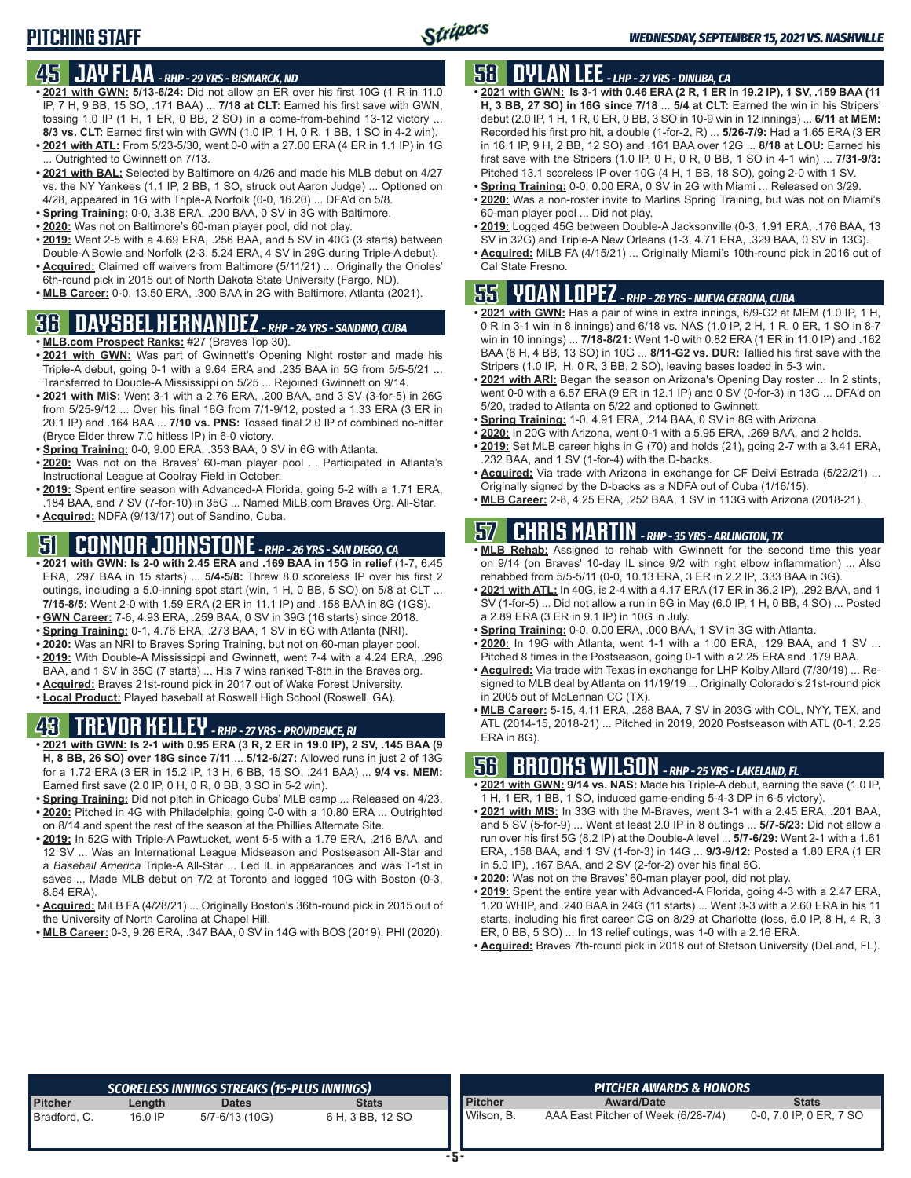## **45 JAY FLAA** *- RHP - 29 YRS - BISMARCK, ND*

- **• 2021 with GWN: 5/13-6/24:** Did not allow an ER over his first 10G (1 R in 11.0 IP, 7 H, 9 BB, 15 SO, .171 BAA) ... **7/18 at CLT:** Earned his first save with GWN, tossing 1.0 IP (1 H, 1 ER, 0 BB, 2 SO) in a come-from-behind 13-12 victory ... **8/3 vs. CLT:** Earned first win with GWN (1.0 IP, 1 H, 0 R, 1 BB, 1 SO in 4-2 win).
- **• 2021 with ATL:** From 5/23-5/30, went 0-0 with a 27.00 ERA (4 ER in 1.1 IP) in 1G ... Outrighted to Gwinnett on 7/13.
- **• 2021 with BAL:** Selected by Baltimore on 4/26 and made his MLB debut on 4/27 vs. the NY Yankees (1.1 IP, 2 BB, 1 SO, struck out Aaron Judge) ... Optioned on 4/28, appeared in 1G with Triple-A Norfolk (0-0, 16.20) ... DFA'd on 5/8.
- **• Spring Training:** 0-0, 3.38 ERA, .200 BAA, 0 SV in 3G with Baltimore.
- **• 2020:** Was not on Baltimore's 60-man player pool, did not play.
- **• 2019:** Went 2-5 with a 4.69 ERA, .256 BAA, and 5 SV in 40G (3 starts) between Double-A Bowie and Norfolk (2-3, 5.24 ERA, 4 SV in 29G during Triple-A debut).
- **• Acquired:** Claimed off waivers from Baltimore (5/11/21) ... Originally the Orioles' 6th-round pick in 2015 out of North Dakota State University (Fargo, ND).
- **• MLB Career:** 0-0, 13.50 ERA, .300 BAA in 2G with Baltimore, Atlanta (2021).

# **36 DAYSBEL HERNANDEZ** *- RHP - 24 YRS - SANDINO, CUBA*

- **• MLB.com Prospect Ranks:** #27 (Braves Top 30).
- **• 2021 with GWN:** Was part of Gwinnett's Opening Night roster and made his Triple-A debut, going 0-1 with a 9.64 ERA and .235 BAA in 5G from 5/5-5/21 ... Transferred to Double-A Mississippi on 5/25 ... Rejoined Gwinnett on 9/14.
- **• 2021 with MIS:** Went 3-1 with a 2.76 ERA, .200 BAA, and 3 SV (3-for-5) in 26G from 5/25-9/12 ... Over his final 16G from 7/1-9/12, posted a 1.33 ERA (3 ER in 20.1 IP) and .164 BAA ... **7/10 vs. PNS:** Tossed final 2.0 IP of combined no-hitter (Bryce Elder threw 7.0 hitless IP) in 6-0 victory.
- **• Spring Training:** 0-0, 9.00 ERA, .353 BAA, 0 SV in 6G with Atlanta.
- **• 2020:** Was not on the Braves' 60-man player pool ... Participated in Atlanta's Instructional League at Coolray Field in October.
- **• 2019:** Spent entire season with Advanced-A Florida, going 5-2 with a 1.71 ERA, .184 BAA, and 7 SV (7-for-10) in 35G ... Named MiLB.com Braves Org. All-Star.
- **• Acquired:** NDFA (9/13/17) out of Sandino, Cuba.

# **51 CONNOR JOHNSTONE** *- RHP - 26 YRS - SAN DIEGO, CA*

- **• 2021 with GWN: Is 2-0 with 2.45 ERA and .169 BAA in 15G in relief** (1-7, 6.45 ERA, .297 BAA in 15 starts) ... **5/4-5/8:** Threw 8.0 scoreless IP over his first 2 outings, including a 5.0-inning spot start (win, 1 H, 0 BB, 5 SO) on 5/8 at CLT ... **7/15-8/5:** Went 2-0 with 1.59 ERA (2 ER in 11.1 IP) and .158 BAA in 8G (1GS). **• GWN Career:** 7-6, 4.93 ERA, .259 BAA, 0 SV in 39G (16 starts) since 2018.
- 
- **• Spring Training:** 0-1, 4.76 ERA, .273 BAA, 1 SV in 6G with Atlanta (NRI). **• 2020:** Was an NRI to Braves Spring Training, but not on 60-man player pool.
- **• 2019:** With Double-A Mississippi and Gwinnett, went 7-4 with a 4.24 ERA, .296
- BAA, and 1 SV in 35G (7 starts) ... His 7 wins ranked T-8th in the Braves org.
- **• Acquired:** Braves 21st-round pick in 2017 out of Wake Forest University.
- **• Local Product:** Played baseball at Roswell High School (Roswell, GA).

# **43 TREVOR KELLEY** *- RHP - 27 YRS - PROVIDENCE, RI*

- **• 2021 with GWN: Is 2-1 with 0.95 ERA (3 R, 2 ER in 19.0 IP), 2 SV, .145 BAA (9 H, 8 BB, 26 SO) over 18G since 7/11** ... **5/12-6/27:** Allowed runs in just 2 of 13G for a 1.72 ERA (3 ER in 15.2 IP, 13 H, 6 BB, 15 SO, .241 BAA) ... **9/4 vs. MEM:** Earned first save (2.0 IP, 0 H, 0 R, 0 BB, 3 SO in 5-2 win).
- **• Spring Training:** Did not pitch in Chicago Cubs' MLB camp ... Released on 4/23.
- **• 2020:** Pitched in 4G with Philadelphia, going 0-0 with a 10.80 ERA ... Outrighted on 8/14 and spent the rest of the season at the Phillies Alternate Site. **• 2019:** In 52G with Triple-A Pawtucket, went 5-5 with a 1.79 ERA, .216 BAA, and
- 12 SV ... Was an International League Midseason and Postseason All-Star and a *Baseball America* Triple-A All-Star ... Led IL in appearances and was T-1st in saves ... Made MLB debut on 7/2 at Toronto and logged 10G with Boston (0-3, 8.64 ERA).
- **• Acquired:** MiLB FA (4/28/21) ... Originally Boston's 36th-round pick in 2015 out of the University of North Carolina at Chapel Hill.
- **• MLB Career:** 0-3, 9.26 ERA, .347 BAA, 0 SV in 14G with BOS (2019), PHI (2020).

# **58 DYLAN LEE** *- LHP - 27 YRS - DINUBA, CA*

- **• 2021 with GWN: Is 3-1 with 0.46 ERA (2 R, 1 ER in 19.2 IP), 1 SV, .159 BAA (11 H, 3 BB, 27 SO) in 16G since 7/18** ... **5/4 at CLT:** Earned the win in his Stripers' debut (2.0 IP, 1 H, 1 R, 0 ER, 0 BB, 3 SO in 10-9 win in 12 innings) ... **6/11 at MEM:** Recorded his first pro hit, a double (1-for-2, R) ... **5/26-7/9:** Had a 1.65 ERA (3 ER in 16.1 IP, 9 H, 2 BB, 12 SO) and .161 BAA over 12G ... **8/18 at LOU:** Earned his first save with the Stripers (1.0 IP, 0 H, 0 R, 0 BB, 1 SO in 4-1 win) ... **7/31-9/3:** Pitched 13.1 scoreless IP over 10G (4 H, 1 BB, 18 SO), going 2-0 with 1 SV.
- **• Spring Training:** 0-0, 0.00 ERA, 0 SV in 2G with Miami ... Released on 3/29.
- **• 2020:** Was a non-roster invite to Marlins Spring Training, but was not on Miami's 60-man player pool ... Did not play.
- **• 2019:** Logged 45G between Double-A Jacksonville (0-3, 1.91 ERA, .176 BAA, 13 SV in 32G) and Triple-A New Orleans (1-3, 4.71 ERA, .329 BAA, 0 SV in 13G).
- **• Acquired:** MiLB FA (4/15/21) ... Originally Miami's 10th-round pick in 2016 out of Cal State Fresno.

## **55 YOAN LOPEZ** *- RHP - 28 YRS - NUEVA GERONA, CUBA*

- **• 2021 with GWN:** Has a pair of wins in extra innings, 6/9-G2 at MEM (1.0 IP, 1 H, 0 R in 3-1 win in 8 innings) and 6/18 vs. NAS (1.0 IP, 2 H, 1 R, 0 ER, 1 SO in 8-7 win in 10 innings) ... **7/18-8/21:** Went 1-0 with 0.82 ERA (1 ER in 11.0 IP) and .162 BAA (6 H, 4 BB, 13 SO) in 10G ... **8/11-G2 vs. DUR:** Tallied his first save with the Stripers (1.0 IP, H, 0 R, 3 BB, 2 SO), leaving bases loaded in 5-3 win.
- **• 2021 with ARI:** Began the season on Arizona's Opening Day roster ... In 2 stints, went 0-0 with a 6.57 ERA (9 ER in 12.1 IP) and 0 SV (0-for-3) in 13G ... DFA'd on 5/20, traded to Atlanta on 5/22 and optioned to Gwinnett.
- **• Spring Training:** 1-0, 4.91 ERA, .214 BAA, 0 SV in 8G with Arizona.
- **• 2020:** In 20G with Arizona, went 0-1 with a 5.95 ERA, .269 BAA, and 2 holds. **• 2019:** Set MLB career highs in G (70) and holds (21), going 2-7 with a 3.41 ERA,
- .232 BAA, and 1 SV (1-for-4) with the D-backs. **• Acquired:** Via trade with Arizona in exchange for CF Deivi Estrada (5/22/21) ... Originally signed by the D-backs as a NDFA out of Cuba (1/16/15).
- **• MLB Career:** 2-8, 4.25 ERA, .252 BAA, 1 SV in 113G with Arizona (2018-21).

# **57 CHRIS MARTIN** *- RHP - 35 YRS - ARLINGTON, TX*

- **• MLB Rehab:** Assigned to rehab with Gwinnett for the second time this year on 9/14 (on Braves' 10-day IL since 9/2 with right elbow inflammation) ... Also rehabbed from 5/5-5/11 (0-0, 10.13 ERA, 3 ER in 2.2 IP, .333 BAA in 3G).
- **• 2021 with ATL:** In 40G, is 2-4 with a 4.17 ERA (17 ER in 36.2 IP), .292 BAA, and 1 SV (1-for-5) ... Did not allow a run in 6G in May (6.0 IP, 1 H, 0 BB, 4 SO) ... Posted a 2.89 ERA (3 ER in 9.1 IP) in 10G in July.
- **• Spring Training:** 0-0, 0.00 ERA, .000 BAA, 1 SV in 3G with Atlanta.
- **• 2020:** In 19G with Atlanta, went 1-1 with a 1.00 ERA, .129 BAA, and 1 SV ... Pitched 8 times in the Postseason, going 0-1 with a 2.25 ERA and .179 BAA.
- **• Acquired:** Via trade with Texas in exchange for LHP Kolby Allard (7/30/19) ... Resigned to MLB deal by Atlanta on 11/19/19 ... Originally Colorado's 21st-round pick in 2005 out of McLennan CC (TX).
- **• MLB Career:** 5-15, 4.11 ERA, .268 BAA, 7 SV in 203G with COL, NYY, TEX, and ATL (2014-15, 2018-21) ... Pitched in 2019, 2020 Postseason with ATL (0-1, 2.25 ERA in 8G).

# **56 BROOKS WILSON** *- RHP - 25 YRS - LAKELAND, FL*

- **• 2021 with GWN: 9/14 vs. NAS:** Made his Triple-A debut, earning the save (1.0 IP, 1 H, 1 ER, 1 BB, 1 SO, induced game-ending 5-4-3 DP in 6-5 victory).
- **• 2021 with MIS:** In 33G with the M-Braves, went 3-1 with a 2.45 ERA, .201 BAA, and 5 SV (5-for-9) ... Went at least 2.0 IP in 8 outings ... **5/7-5/23:** Did not allow a run over his first 5G (8.2 IP) at the Double-A level ... **5/7-6/29:** Went 2-1 with a 1.61 ERA, .158 BAA, and 1 SV (1-for-3) in 14G ... **9/3-9/12:** Posted a 1.80 ERA (1 ER in 5.0 IP), .167 BAA, and 2 SV (2-for-2) over his final 5G.
- **• 2020:** Was not on the Braves' 60-man player pool, did not play.
- **• 2019:** Spent the entire year with Advanced-A Florida, going 4-3 with a 2.47 ERA, 1.20 WHIP, and .240 BAA in 24G (11 starts) ... Went 3-3 with a 2.60 ERA in his 11 starts, including his first career CG on 8/29 at Charlotte (loss, 6.0 IP, 8 H, 4 R, 3 ER, 0 BB, 5 SO) ... In 13 relief outings, was 1-0 with a 2.16 ERA.
- **• Acquired:** Braves 7th-round pick in 2018 out of Stetson University (DeLand, FL).

|                |         | SCORELESS INNINGS STREAKS (15-PLUS INNINGS) |                  |                | <b>PITCHER AWARDS &amp; HONORS</b>  |                         |
|----------------|---------|---------------------------------------------|------------------|----------------|-------------------------------------|-------------------------|
| <b>Pitcher</b> | Length  | <b>Dates</b>                                | Stats            | <b>Pitcher</b> | <b>Award/Date</b>                   | <b>Stats</b>            |
| Bradford, C.   | 16.0 IP | 5/7-6/13 (10G)                              | 6 H, 3 BB, 12 SO | Wilson, B.     | AAA East Pitcher of Week (6/28-7/4) | 0-0, 7.0 IP, 0 ER, 7 SO |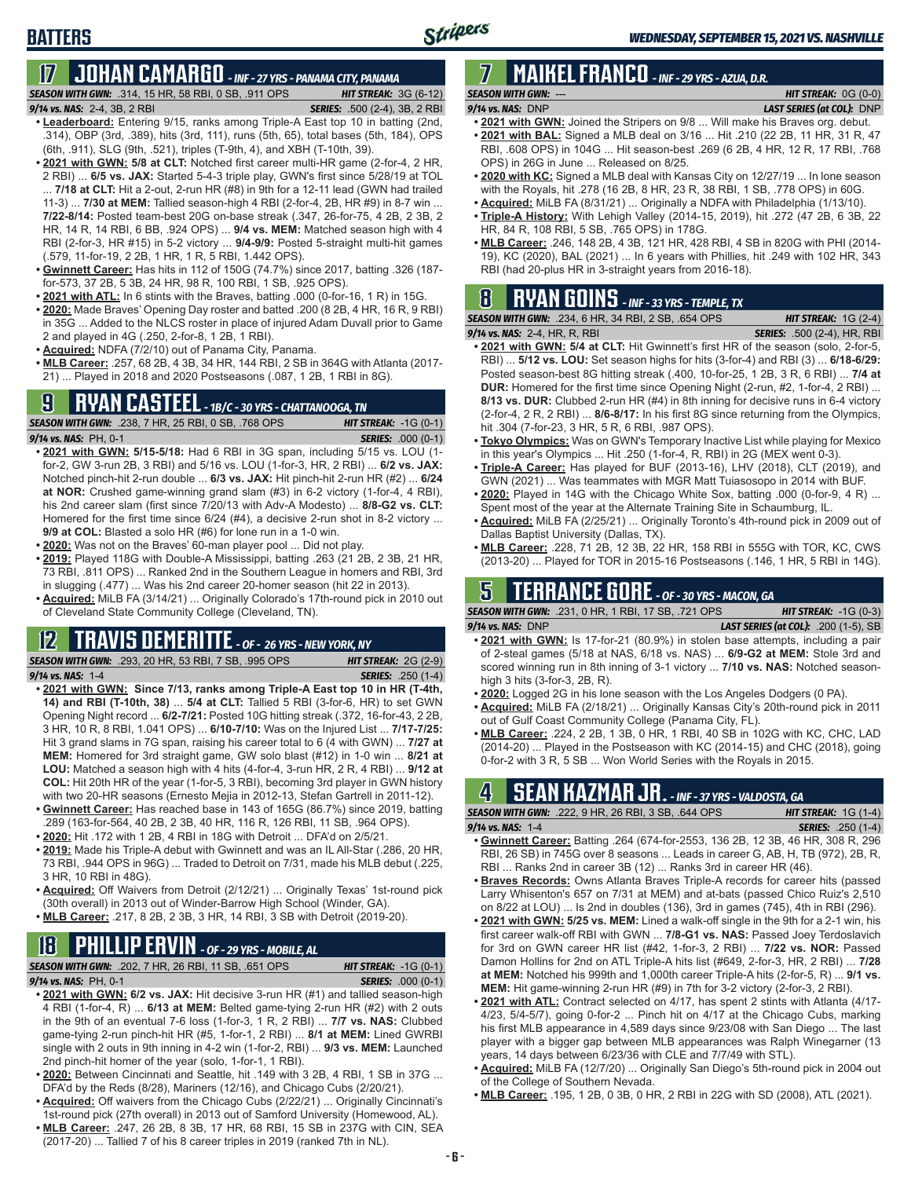# **17 JOHAN CAMARGO** *- INF - 27 YRS - PANAMA CITY, PANAMA*

*SEASON WITH GWN:*.314, 15 HR, 58 RBI, 0 SB, .911 OPS *HIT STREAK:* 3G (6-12)

#### *9/14 vs. NAS:* 2-4, 3B, 2 RBI *SERIES:* .500 (2-4), 3B, 2 RBI

**BATTERS**

- **• Leaderboard:** Entering 9/15, ranks among Triple-A East top 10 in batting (2nd, .314), OBP (3rd, .389), hits (3rd, 111), runs (5th, 65), total bases (5th, 184), OPS (6th, .911), SLG (9th, .521), triples (T-9th, 4), and XBH (T-10th, 39).
- **• 2021 with GWN: 5/8 at CLT:** Notched first career multi-HR game (2-for-4, 2 HR, 2 RBI) ... **6/5 vs. JAX:** Started 5-4-3 triple play, GWN's first since 5/28/19 at TOL ... **7/18 at CLT:** Hit a 2-out, 2-run HR (#8) in 9th for a 12-11 lead (GWN had trailed 11-3) ... **7/30 at MEM:** Tallied season-high 4 RBI (2-for-4, 2B, HR #9) in 8-7 win ... **7/22-8/14:** Posted team-best 20G on-base streak (.347, 26-for-75, 4 2B, 2 3B, 2 HR, 14 R, 14 RBI, 6 BB, .924 OPS) ... **9/4 vs. MEM:** Matched season high with 4 RBI (2-for-3, HR #15) in 5-2 victory ... **9/4-9/9:** Posted 5-straight multi-hit games (.579, 11-for-19, 2 2B, 1 HR, 1 R, 5 RBI, 1.442 OPS).
- **• Gwinnett Career:** Has hits in 112 of 150G (74.7%) since 2017, batting .326 (187 for-573, 37 2B, 5 3B, 24 HR, 98 R, 100 RBI, 1 SB, .925 OPS).
- **• 2021 with ATL:** In 6 stints with the Braves, batting .000 (0-for-16, 1 R) in 15G.
- **• 2020:** Made Braves' Opening Day roster and batted .200 (8 2B, 4 HR, 16 R, 9 RBI) in 35G ... Added to the NLCS roster in place of injured Adam Duvall prior to Game 2 and played in 4G (.250, 2-for-8, 1 2B, 1 RBI).
- **• Acquired:** NDFA (7/2/10) out of Panama City, Panama.
- **• MLB Career:** .257, 68 2B, 4 3B, 34 HR, 144 RBI, 2 SB in 364G with Atlanta (2017- 21) ... Played in 2018 and 2020 Postseasons (.087, 1 2B, 1 RBI in 8G).

# **9 RYAN CASTEEL** *- 1B/C - 30 YRS - CHATTANOOGA, TN*

*SEASON WITH GWN:*.238, 7 HR, 25 RBI, 0 SB, .768 OPS *HIT STREAK:* -1G (0-1) *9/14 vs. NAS:*PH, 0-1 *SERIES:* .000 (0-1)

- **• 2021 with GWN: 5/15-5/18:** Had 6 RBI in 3G span, including 5/15 vs. LOU (1 for-2, GW 3-run 2B, 3 RBI) and 5/16 vs. LOU (1-for-3, HR, 2 RBI) ... **6/2 vs. JAX:** Notched pinch-hit 2-run double ... **6/3 vs. JAX:** Hit pinch-hit 2-run HR (#2) ... **6/24 at NOR:** Crushed game-winning grand slam (#3) in 6-2 victory (1-for-4, 4 RBI), his 2nd career slam (first since 7/20/13 with Adv-A Modesto) ... **8/8-G2 vs. CLT:** Homered for the first time since 6/24 (#4), a decisive 2-run shot in 8-2 victory ... **9/9 at COL:** Blasted a solo HR (#6) for lone run in a 1-0 win.
- **• 2020:** Was not on the Braves' 60-man player pool ... Did not play.
- **• 2019:** Played 118G with Double-A Mississippi, batting .263 (21 2B, 2 3B, 21 HR, 73 RBI, .811 OPS) ... Ranked 2nd in the Southern League in homers and RBI, 3rd in slugging (.477) ... Was his 2nd career 20-homer season (hit 22 in 2013).
- **• Acquired:** MiLB FA (3/14/21) ... Originally Colorado's 17th-round pick in 2010 out of Cleveland State Community College (Cleveland, TN).

### **12 TRAVIS DEMERITTE** *- OF - 26 YRS - NEW YORK, NY*

*SEASON WITH GWN:*.293, 20 HR, 53 RBI, 7 SB, .995 OPS *HIT STREAK:* 2G (2-9) *9/14 vs. NAS:*1-4 *SERIES:* .250 (1-4)

- **• 2021 with GWN: Since 7/13, ranks among Triple-A East top 10 in HR (T-4th, 14) and RBI (T-10th, 38)** ... **5/4 at CLT:** Tallied 5 RBI (3-for-6, HR) to set GWN Opening Night record ... **6/2-7/21:** Posted 10G hitting streak (.372, 16-for-43, 2 2B, 3 HR, 10 R, 8 RBI, 1.041 OPS) ... **6/10-7/10:** Was on the Injured List ... **7/17-7/25:** Hit 3 grand slams in 7G span, raising his career total to 6 (4 with GWN) ... **7/27 at MEM:** Homered for 3rd straight game, GW solo blast (#12) in 1-0 win ... **8/21 at LOU:** Matched a season high with 4 hits (4-for-4, 3-run HR, 2 R, 4 RBI) ... **9/12 at COL:** Hit 20th HR of the year (1-for-5, 3 RBI), becoming 3rd player in GWN history with two 20-HR seasons (Ernesto Mejia in 2012-13, Stefan Gartrell in 2011-12).
- **• Gwinnett Career:** Has reached base in 143 of 165G (86.7%) since 2019, batting .289 (163-for-564, 40 2B, 2 3B, 40 HR, 116 R, 126 RBI, 11 SB, .964 OPS).
- **• 2020:** Hit .172 with 1 2B, 4 RBI in 18G with Detroit ... DFA'd on 2/5/21.
- **• 2019:** Made his Triple-A debut with Gwinnett and was an IL All-Star (.286, 20 HR, 73 RBI, .944 OPS in 96G) ... Traded to Detroit on 7/31, made his MLB debut (.225, 3 HR, 10 RBI in 48G).
- **• Acquired:** Off Waivers from Detroit (2/12/21) ... Originally Texas' 1st-round pick (30th overall) in 2013 out of Winder-Barrow High School (Winder, GA).
- **• MLB Career:** .217, 8 2B, 2 3B, 3 HR, 14 RBI, 3 SB with Detroit (2019-20).

# **18 PHILLIP ERVIN** *- OF - 29 YRS - MOBILE, AL*

*SEASON WITH GWN:*.202, 7 HR, 26 RBI, 11 SB, .651 OPS *HIT STREAK:* -1G (0-1)

*9/14 vs. NAS:*PH, 0-1 *SERIES:* .000 (0-1)

- **• 2021 with GWN: 6/2 vs. JAX:** Hit decisive 3-run HR (#1) and tallied season-high 4 RBI (1-for-4, R) ... **6/13 at MEM:** Belted game-tying 2-run HR (#2) with 2 outs in the 9th of an eventual 7-6 loss (1-for-3, 1 R, 2 RBI) ... **7/7 vs. NAS:** Clubbed game-tying 2-run pinch-hit HR (#5, 1-for-1, 2 RBI) ... **8/1 at MEM:** Lined GWRBI single with 2 outs in 9th inning in 4-2 win (1-for-2, RBI) ... **9/3 vs. MEM:** Launched 2nd pinch-hit homer of the year (solo, 1-for-1, 1 RBI).
- **• 2020:** Between Cincinnati and Seattle, hit .149 with 3 2B, 4 RBI, 1 SB in 37G ... DFA'd by the Reds (8/28), Mariners (12/16), and Chicago Cubs (2/20/21).
- **• Acquired:** Off waivers from the Chicago Cubs (2/22/21) ... Originally Cincinnati's 1st-round pick (27th overall) in 2013 out of Samford University (Homewood, AL).
- **• MLB Career:** .247, 26 2B, 8 3B, 17 HR, 68 RBI, 15 SB in 237G with CIN, SEA (2017-20) ... Tallied 7 of his 8 career triples in 2019 (ranked 7th in NL).

### **7 MAIKEL FRANCO** *- INF - 29 YRS - AZUA, D.R. SEASON WITH GWN:*--- *HIT STREAK:* 0G (0-0)

### *9/14 vs. NAS:*DNP *LAST SERIES (at COL):* DNP

- **• 2021 with GWN:** Joined the Stripers on 9/8 ... Will make his Braves org. debut.
- **• 2021 with BAL:** Signed a MLB deal on 3/16 ... Hit .210 (22 2B, 11 HR, 31 R, 47 RBI, .608 OPS) in 104G ... Hit season-best .269 (6 2B, 4 HR, 12 R, 17 RBI, .768 OPS) in 26G in June ... Released on 8/25.
- **• 2020 with KC:** Signed a MLB deal with Kansas City on 12/27/19 ... In lone season with the Royals, hit .278 (16 2B, 8 HR, 23 R, 38 RBI, 1 SB, .778 OPS) in 60G.
- **• Acquired:** MiLB FA (8/31/21) ... Originally a NDFA with Philadelphia (1/13/10).
- **• Triple-A History:** With Lehigh Valley (2014-15, 2019), hit .272 (47 2B, 6 3B, 22 HR, 84 R, 108 RBI, 5 SB, .765 OPS) in 178G.
- **• MLB Career:** .246, 148 2B, 4 3B, 121 HR, 428 RBI, 4 SB in 820G with PHI (2014- 19), KC (2020), BAL (2021) ... In 6 years with Phillies, hit .249 with 102 HR, 343 RBI (had 20-plus HR in 3-straight years from 2016-18).

### **8 RYAN GOINS** *- INF - 33 YRS - TEMPLE, TX* **SEASON WITH GWN:** .2

| 234, 6 HR, 34 RBI, 2 SB, .654 OPS | <b>HIT STREAK:</b> $1G(2-4)$       |
|-----------------------------------|------------------------------------|
| ኒ R. RBI                          | <b>SERIES:</b> .500 (2-4), HR, RBI |

- $9/14$  vs. NAS: 2-4, HR **• 2021 with GWN: 5/4 at CLT:** Hit Gwinnett's first HR of the season (solo, 2-for-5, RBI) ... **5/12 vs. LOU:** Set season highs for hits (3-for-4) and RBI (3) ... **6/18-6/29:** Posted season-best 8G hitting streak (.400, 10-for-25, 1 2B, 3 R, 6 RBI) ... **7/4 at DUR:** Homered for the first time since Opening Night (2-run, #2, 1-for-4, 2 RBI) ... **8/13 vs. DUR:** Clubbed 2-run HR (#4) in 8th inning for decisive runs in 6-4 victory (2-for-4, 2 R, 2 RBI) ... **8/6-8/17:** In his first 8G since returning from the Olympics, hit .304 (7-for-23, 3 HR, 5 R, 6 RBI, .987 OPS).
- **• Tokyo Olympics:** Was on GWN's Temporary Inactive List while playing for Mexico in this year's Olympics ... Hit .250 (1-for-4, R, RBI) in 2G (MEX went 0-3).
- **• Triple-A Career:** Has played for BUF (2013-16), LHV (2018), CLT (2019), and GWN (2021) ... Was teammates with MGR Matt Tuiasosopo in 2014 with BUF.
- **• 2020:** Played in 14G with the Chicago White Sox, batting .000 (0-for-9, 4 R) ... Spent most of the year at the Alternate Training Site in Schaumburg, IL.
- **• Acquired:** MiLB FA (2/25/21) ... Originally Toronto's 4th-round pick in 2009 out of Dallas Baptist University (Dallas, TX).
- **• MLB Career:** .228, 71 2B, 12 3B, 22 HR, 158 RBI in 555G with TOR, KC, CWS (2013-20) ... Played for TOR in 2015-16 Postseasons (.146, 1 HR, 5 RBI in 14G).

### **5 TERRANCE GORE** *- OF - 30 YRS - MACON, GA*

*SEASON WITH GWN:*.231, 0 HR, 1 RBI, 17 SB, .721 OPS *HIT STREAK:* -1G (0-3) *9/14 vs. NAS:*DNP *LAST SERIES (at COL):* .200 (1-5), SB

- **• 2021 with GWN:** Is 17-for-21 (80.9%) in stolen base attempts, including a pair of 2-steal games (5/18 at NAS, 6/18 vs. NAS) ... **6/9-G2 at MEM:** Stole 3rd and scored winning run in 8th inning of 3-1 victory ... **7/10 vs. NAS:** Notched seasonhigh 3 hits (3-for-3, 2B, R).
- **• 2020:** Logged 2G in his lone season with the Los Angeles Dodgers (0 PA).
- **• Acquired:** MiLB FA (2/18/21) ... Originally Kansas City's 20th-round pick in 2011 out of Gulf Coast Community College (Panama City, FL).
- **• MLB Career:** .224, 2 2B, 1 3B, 0 HR, 1 RBI, 40 SB in 102G with KC, CHC, LAD (2014-20) ... Played in the Postseason with KC (2014-15) and CHC (2018), going 0-for-2 with 3 R, 5 SB ... Won World Series with the Royals in 2015.

### **4 SEAN KAZMAR JR.** *- INF - 37 YRS - VALDOSTA, GA*

| <b>SEASON WITH GWN:</b> .222, 9 HR, 26 RBI, 3 SB, .644 OPS                |  | <b>HIT STREAK:</b> $1G(1-4)$ |                           |  |
|---------------------------------------------------------------------------|--|------------------------------|---------------------------|--|
| $9/14$ vs. NAS: 1-4                                                       |  |                              | <b>SERIES:</b> .250 (1-4) |  |
| . Cuinnatt Caroor: Potting 264 (674 for 2552 126 2D 12 2D 46 UD 200 D 206 |  |                              |                           |  |

- **• Gwinnett Career:** Batting .264 (674-for-2553, 136 2B, 12 3B, 46 HR, 308 R, 296 RBI, 26 SB) in 745G over 8 seasons ... Leads in career G, AB, H, TB (972), 2B, R, RBI ... Ranks 2nd in career 3B (12) ... Ranks 3rd in career HR (46).
- **• Braves Records:** Owns Atlanta Braves Triple-A records for career hits (passed Larry Whisenton's 657 on 7/31 at MEM) and at-bats (passed Chico Ruiz's 2,510 on 8/22 at LOU) ... Is 2nd in doubles (136), 3rd in games (745), 4th in RBI (296).
- **• 2021 with GWN: 5/25 vs. MEM:** Lined a walk-off single in the 9th for a 2-1 win, his first career walk-off RBI with GWN ... **7/8-G1 vs. NAS:** Passed Joey Terdoslavich for 3rd on GWN career HR list (#42, 1-for-3, 2 RBI) ... **7/22 vs. NOR:** Passed Damon Hollins for 2nd on ATL Triple-A hits list (#649, 2-for-3, HR, 2 RBI) ... **7/28 at MEM:** Notched his 999th and 1,000th career Triple-A hits (2-for-5, R) ... **9/1 vs. MEM:** Hit game-winning 2-run HR (#9) in 7th for 3-2 victory (2-for-3, 2 RBI).
- **• 2021 with ATL:** Contract selected on 4/17, has spent 2 stints with Atlanta (4/17- 4/23, 5/4-5/7), going 0-for-2 ... Pinch hit on 4/17 at the Chicago Cubs, marking his first MLB appearance in 4,589 days since 9/23/08 with San Diego ... The last player with a bigger gap between MLB appearances was Ralph Winegarner (13 years, 14 days between 6/23/36 with CLE and 7/7/49 with STL).
- **• Acquired:** MiLB FA (12/7/20) ... Originally San Diego's 5th-round pick in 2004 out of the College of Southern Nevada.
- **• MLB Career:** .195, 1 2B, 0 3B, 0 HR, 2 RBI in 22G with SD (2008), ATL (2021).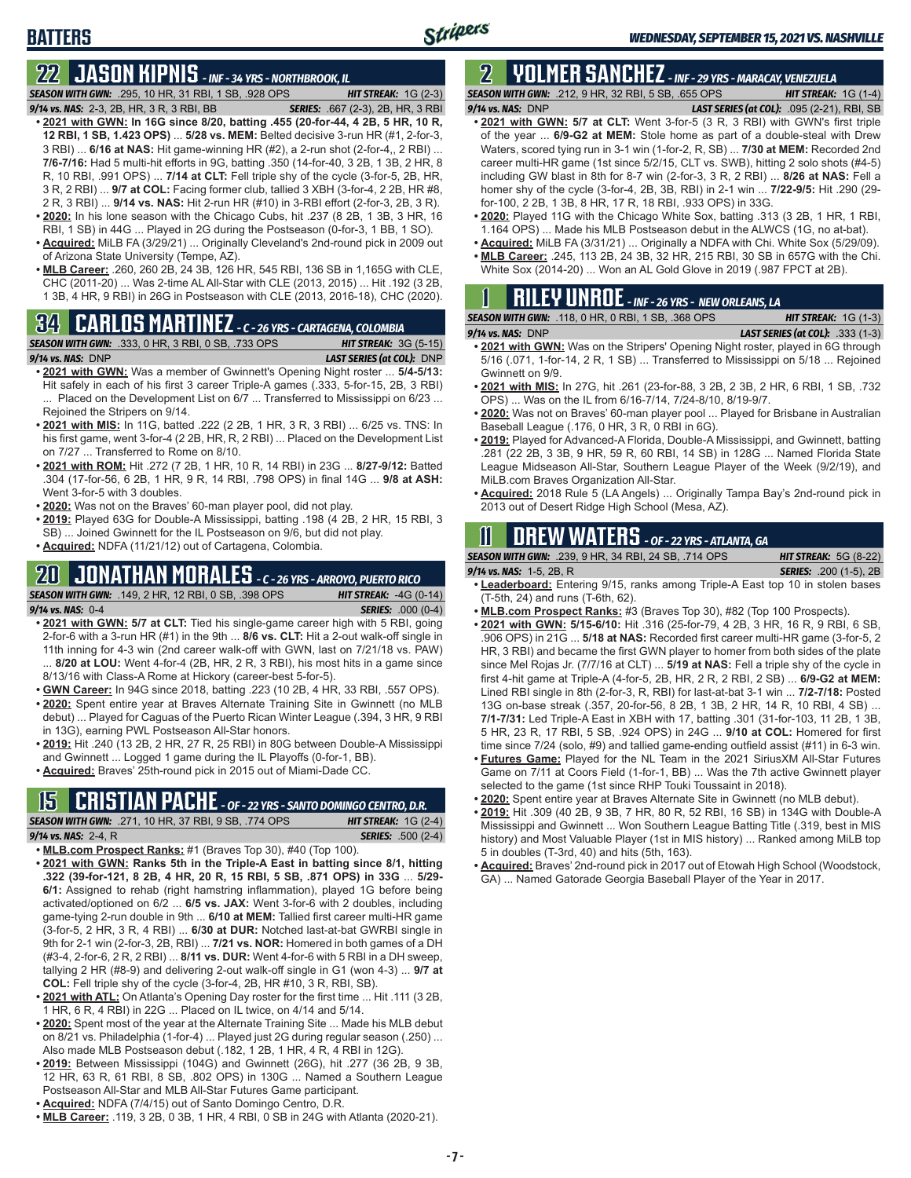# **22 JASON KIPNIS** *- INF - 34 YRS - NORTHBROOK, IL*

*SEASON WITH GWN:*.295, 10 HR, 31 RBI, 1 SB, .928 OPS *HIT STREAK:* 1G (2-3)

- *9/14 vs. NAS:*2-3, 2B, HR, 3 R, 3 RBI, BB *SERIES:* .667 (2-3), 2B, HR, 3 RBI **• 2021 with GWN: In 16G since 8/20, batting .455 (20-for-44, 4 2B, 5 HR, 10 R, 12 RBI, 1 SB, 1.423 OPS)** ... **5/28 vs. MEM:** Belted decisive 3-run HR (#1, 2-for-3, 3 RBI) ... **6/16 at NAS:** Hit game-winning HR (#2), a 2-run shot (2-for-4,, 2 RBI) ... **7/6-7/16:** Had 5 multi-hit efforts in 9G, batting .350 (14-for-40, 3 2B, 1 3B, 2 HR, 8 R, 10 RBI, .991 OPS) ... **7/14 at CLT:** Fell triple shy of the cycle (3-for-5, 2B, HR, 3 R, 2 RBI) ... **9/7 at COL:** Facing former club, tallied 3 XBH (3-for-4, 2 2B, HR #8, 2 R, 3 RBI) ... **9/14 vs. NAS:** Hit 2-run HR (#10) in 3-RBI effort (2-for-3, 2B, 3 R). **• 2020:** In his lone season with the Chicago Cubs, hit .237 (8 2B, 1 3B, 3 HR, 16
- RBI, 1 SB) in 44G ... Played in 2G during the Postseason (0-for-3, 1 BB, 1 SO). **• Acquired:** MiLB FA (3/29/21) ... Originally Cleveland's 2nd-round pick in 2009 out
- of Arizona State University (Tempe, AZ).
- **• MLB Career:** .260, 260 2B, 24 3B, 126 HR, 545 RBI, 136 SB in 1,165G with CLE, CHC (2011-20) ... Was 2-time AL All-Star with CLE (2013, 2015) ... Hit .192 (3 2B, 1 3B, 4 HR, 9 RBI) in 26G in Postseason with CLE (2013, 2016-18), CHC (2020).

# **34 CARLOS MARTINEZ** *- C - 26 YRS - CARTAGENA, COLOMBIA*



- **• 2021 with GWN:** Was a member of Gwinnett's Opening Night roster ... **5/4-5/13:** Hit safely in each of his first 3 career Triple-A games (.333, 5-for-15, 2B, 3 RBI) ... Placed on the Development List on 6/7 ... Transferred to Mississippi on 6/23 ... Rejoined the Stripers on 9/14.
- **• 2021 with MIS:** In 11G, batted .222 (2 2B, 1 HR, 3 R, 3 RBI) ... 6/25 vs. TNS: In his first game, went 3-for-4 (2 2B, HR, R, 2 RBI) ... Placed on the Development List on 7/27 ... Transferred to Rome on 8/10.
- **• 2021 with ROM:** Hit .272 (7 2B, 1 HR, 10 R, 14 RBI) in 23G ... **8/27-9/12:** Batted .304 (17-for-56, 6 2B, 1 HR, 9 R, 14 RBI, .798 OPS) in final 14G ... **9/8 at ASH:** Went 3-for-5 with 3 doubles.
- **• 2020:** Was not on the Braves' 60-man player pool, did not play.
- **• 2019:** Played 63G for Double-A Mississippi, batting .198 (4 2B, 2 HR, 15 RBI, 3 SB) ... Joined Gwinnett for the IL Postseason on 9/6, but did not play.
- **• Acquired:** NDFA (11/21/12) out of Cartagena, Colombia.

## **20 JONATHAN MORALES** *- C - 26 YRS - ARROYO, PUERTO RICO*



- **• 2021 with GWN: 5/7 at CLT:** Tied his single-game career high with 5 RBI, going 2-for-6 with a 3-run HR (#1) in the 9th ... **8/6 vs. CLT:** Hit a 2-out walk-off single in 11th inning for 4-3 win (2nd career walk-off with GWN, last on 7/21/18 vs. PAW) ... **8/20 at LOU:** Went 4-for-4 (2B, HR, 2 R, 3 RBI), his most hits in a game since 8/13/16 with Class-A Rome at Hickory (career-best 5-for-5).
- **• GWN Career:** In 94G since 2018, batting .223 (10 2B, 4 HR, 33 RBI, .557 OPS).
- **• 2020:** Spent entire year at Braves Alternate Training Site in Gwinnett (no MLB debut) ... Played for Caguas of the Puerto Rican Winter League (.394, 3 HR, 9 RBI in 13G), earning PWL Postseason All-Star honors.
- **• 2019:** Hit .240 (13 2B, 2 HR, 27 R, 25 RBI) in 80G between Double-A Mississippi and Gwinnett ... Logged 1 game during the IL Playoffs (0-for-1, BB).
- **• Acquired:** Braves' 25th-round pick in 2015 out of Miami-Dade CC.

# **15 CRISTIAN PACHE** *- OF - 22 YRS - SANTO DOMINGO CENTRO, D.R.*

| <b>SEASON WITH GWN:</b> .271, 10 HR, 37 RBI, 9 SB, .774 OPS ' |  |  | <b>HIT STREAK:</b> $1G(2-4)$ |                           |
|---------------------------------------------------------------|--|--|------------------------------|---------------------------|
| 9/14 vs. NAS: 2-4, R                                          |  |  |                              | <b>SERIES:</b> .500 (2-4) |
|                                                               |  |  |                              |                           |

- **• MLB.com Prospect Ranks:** #1 (Braves Top 30), #40 (Top 100).
- **• 2021 with GWN: Ranks 5th in the Triple-A East in batting since 8/1, hitting .322 (39-for-121, 8 2B, 4 HR, 20 R, 15 RBI, 5 SB, .871 OPS) in 33G** ... **5/29- 6/1:** Assigned to rehab (right hamstring inflammation), played 1G before being activated/optioned on 6/2 ... **6/5 vs. JAX:** Went 3-for-6 with 2 doubles, including game-tying 2-run double in 9th ... **6/10 at MEM:** Tallied first career multi-HR game (3-for-5, 2 HR, 3 R, 4 RBI) ... **6/30 at DUR:** Notched last-at-bat GWRBI single in 9th for 2-1 win (2-for-3, 2B, RBI) ... **7/21 vs. NOR:** Homered in both games of a DH (#3-4, 2-for-6, 2 R, 2 RBI) ... **8/11 vs. DUR:** Went 4-for-6 with 5 RBI in a DH sweep, tallying 2 HR (#8-9) and delivering 2-out walk-off single in G1 (won 4-3) ... **9/7 at COL:** Fell triple shy of the cycle (3-for-4, 2B, HR #10, 3 R, RBI, SB).
- **• 2021 with ATL:** On Atlanta's Opening Day roster for the first time ... Hit .111 (3 2B, 1 HR, 6 R, 4 RBI) in 22G ... Placed on IL twice, on 4/14 and 5/14.
- **• 2020:** Spent most of the year at the Alternate Training Site ... Made his MLB debut on 8/21 vs. Philadelphia (1-for-4) ... Played just 2G during regular season (.250) ... Also made MLB Postseason debut (.182, 1 2B, 1 HR, 4 R, 4 RBI in 12G).
- **• 2019:** Between Mississippi (104G) and Gwinnett (26G), hit .277 (36 2B, 9 3B, 12 HR, 63 R, 61 RBI, 8 SB, .802 OPS) in 130G ... Named a Southern League Postseason All-Star and MLB All-Star Futures Game participant.
- **• Acquired:** NDFA (7/4/15) out of Santo Domingo Centro, D.R.
- **• MLB Career:** .119, 3 2B, 0 3B, 1 HR, 4 RBI, 0 SB in 24G with Atlanta (2020-21).

### **2 YOLMER SANCHEZ** *- INF - 29 YRS - MARACAY, VENEZUELA SEASON WITH GWN:*.212, 9 HR, 32 RBI, 5 SB, .655 OPS *HIT STREAK:* 1G (1-4)

*9/14 vs. NAS:*DNP *LAST SERIES (at COL):* .095 (2-21), RBI, SB

- **• 2021 with GWN: 5/7 at CLT:** Went 3-for-5 (3 R, 3 RBI) with GWN's first triple of the year ... **6/9-G2 at MEM:** Stole home as part of a double-steal with Drew Waters, scored tying run in 3-1 win (1-for-2, R, SB) ... **7/30 at MEM:** Recorded 2nd career multi-HR game (1st since 5/2/15, CLT vs. SWB), hitting 2 solo shots (#4-5) including GW blast in 8th for 8-7 win (2-for-3, 3 R, 2 RBI) ... **8/26 at NAS:** Fell a homer shy of the cycle (3-for-4, 2B, 3B, RBI) in 2-1 win ... **7/22-9/5:** Hit .290 (29 for-100, 2 2B, 1 3B, 8 HR, 17 R, 18 RBI, .933 OPS) in 33G.
- **• 2020:** Played 11G with the Chicago White Sox, batting .313 (3 2B, 1 HR, 1 RBI, 1.164 OPS) ... Made his MLB Postseason debut in the ALWCS (1G, no at-bat).
- **• Acquired:** MiLB FA (3/31/21) ... Originally a NDFA with Chi. White Sox (5/29/09). **• MLB Career:** .245, 113 2B, 24 3B, 32 HR, 215 RBI, 30 SB in 657G with the Chi. Won an AL Gold Glove in 2019 (.987 FPC

| ୀ | <b>RILFULINROF</b> WE 26 VDS NEW OPLEANS LA |  |
|---|---------------------------------------------|--|

| <b>INILLI UIIIUL</b> - INF - 26 YRS - NEW ORLEANS, LA     |                                         |
|-----------------------------------------------------------|-----------------------------------------|
| <b>SEASON WITH GWN: .118, 0 HR, 0 RBI, 1 SB, .368 OPS</b> | <b>HIT STREAK:</b> $1G(1-3)$            |
| $9/14$ vs. NAS: DNP                                       | <b>LAST SERIES (at COL):</b> .333 (1-3) |

- **• 2021 with GWN:** Was on the Stripers' Opening Night roster, played in 6G through 5/16 (.071, 1-for-14, 2 R, 1 SB) ... Transferred to Mississippi on 5/18 ... Rejoined Gwinnett on 9/9.
- **• 2021 with MIS:** In 27G, hit .261 (23-for-88, 3 2B, 2 3B, 2 HR, 6 RBI, 1 SB, .732 OPS) ... Was on the IL from 6/16-7/14, 7/24-8/10, 8/19-9/7.
- **• 2020:** Was not on Braves' 60-man player pool ... Played for Brisbane in Australian Baseball League (.176, 0 HR, 3 R, 0 RBI in 6G).
- **• 2019:** Played for Advanced-A Florida, Double-A Mississippi, and Gwinnett, batting .281 (22 2B, 3 3B, 9 HR, 59 R, 60 RBI, 14 SB) in 128G ... Named Florida State League Midseason All-Star, Southern League Player of the Week (9/2/19), and MiLB.com Braves Organization All-Star.
- **• Acquired:** 2018 Rule 5 (LA Angels) ... Originally Tampa Bay's 2nd-round pick in 2013 out of Desert Ridge High School (Mesa, AZ).

# **11 Drew WATERS** *- OF - 22 YRS - ATLANTA, GA*

*SEASON WITH GWN:*.239, 9 HR, 34 RBI, 24 SB, .714 OPS *HIT STREAK:* 5G (8-22)

*9/14 vs. NAS:*1-5, 2B, R *SERIES:* .200 (1-5), 2B

- **• Leaderboard:** Entering 9/15, ranks among Triple-A East top 10 in stolen bases (T-5th, 24) and runs (T-6th, 62).
- **• MLB.com Prospect Ranks:** #3 (Braves Top 30), #82 (Top 100 Prospects).
- **• 2021 with GWN: 5/15-6/10:** Hit .316 (25-for-79, 4 2B, 3 HR, 16 R, 9 RBI, 6 SB, .906 OPS) in 21G ... **5/18 at NAS:** Recorded first career multi-HR game (3-for-5, 2 HR, 3 RBI) and became the first GWN player to homer from both sides of the plate since Mel Rojas Jr. (7/7/16 at CLT) ... **5/19 at NAS:** Fell a triple shy of the cycle in first 4-hit game at Triple-A (4-for-5, 2B, HR, 2 R, 2 RBI, 2 SB) ... **6/9-G2 at MEM:** Lined RBI single in 8th (2-for-3, R, RBI) for last-at-bat 3-1 win ... **7/2-7/18:** Posted 13G on-base streak (.357, 20-for-56, 8 2B, 1 3B, 2 HR, 14 R, 10 RBI, 4 SB) ... **7/1-7/31:** Led Triple-A East in XBH with 17, batting .301 (31-for-103, 11 2B, 1 3B, 5 HR, 23 R, 17 RBI, 5 SB, .924 OPS) in 24G ... **9/10 at COL:** Homered for first time since 7/24 (solo, #9) and tallied game-ending outfield assist (#11) in 6-3 win.
- **• Futures Game:** Played for the NL Team in the 2021 SiriusXM All-Star Futures Game on 7/11 at Coors Field (1-for-1, BB) ... Was the 7th active Gwinnett player selected to the game (1st since RHP Touki Toussaint in 2018).
- **• 2020:** Spent entire year at Braves Alternate Site in Gwinnett (no MLB debut).
- **• 2019:** Hit .309 (40 2B, 9 3B, 7 HR, 80 R, 52 RBI, 16 SB) in 134G with Double-A Mississippi and Gwinnett ... Won Southern League Batting Title (.319, best in MIS history) and Most Valuable Player (1st in MIS history) ... Ranked among MiLB top 5 in doubles (T-3rd, 40) and hits (5th, 163).
- **• Acquired:** Braves' 2nd-round pick in 2017 out of Etowah High School (Woodstock, GA) ... Named Gatorade Georgia Baseball Player of the Year in 2017.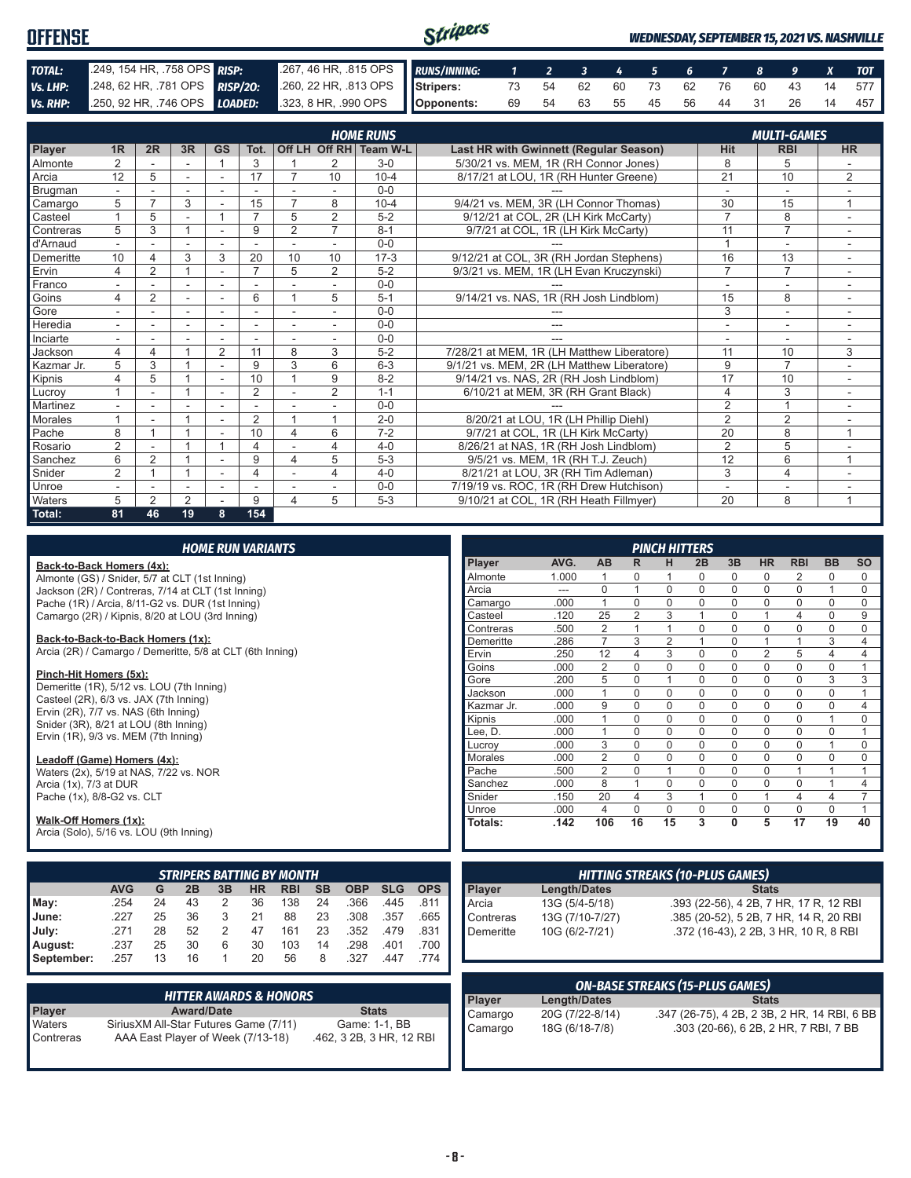| <b>OFFENSE</b> |                                                                                              |                                                          | Stripers |  |  |  |  |  | <b>WEDNESDAY, SEPTEMBER 15, 2021 VS. NASHVILLE</b> |
|----------------|----------------------------------------------------------------------------------------------|----------------------------------------------------------|----------|--|--|--|--|--|----------------------------------------------------|
| TOTAL:         | 249, 154 HR, .758 OPS RISP:                                                                  | 267, 46 HR, 815 OPS RUNS/INNING: 1 2 3 4 5 6 7 8 9 X TOT |          |  |  |  |  |  |                                                    |
| Vs. LHP:       | 248, 62 HR, 781 OPS RISP/20: 260, 22 HR, 813 OPS Stripers: 73 54 62 60 73 62 76 60 43 14 577 |                                                          |          |  |  |  |  |  |                                                    |
|                | Vs. RHP: 250, 92 HR, 746 OPS LOADED: 323, 8 HR, 990 OPS Opponents:                           |                                                          |          |  |  |  |  |  | 69 54 63 55 45 56 44 31 26 14 457                  |

|            |                |                |    |                |                |                |                | <b>HOME RUNS</b>       |                                               |                 | <b>MULTI-GAMES</b> |                |
|------------|----------------|----------------|----|----------------|----------------|----------------|----------------|------------------------|-----------------------------------------------|-----------------|--------------------|----------------|
| Player     | 1 <sub>R</sub> | 2R             | 3R | <b>GS</b>      | Tot.           |                |                | Off LH Off RH Team W-L | <b>Last HR with Gwinnett (Regular Season)</b> | <b>Hit</b>      | <b>RBI</b>         | <b>HR</b>      |
| Almonte    | $\overline{2}$ |                |    |                | 3              |                | 2              | $3-0$                  | 5/30/21 vs. MEM. 1R (RH Connor Jones)         | 8               | 5                  |                |
| Arcia      | 12             | 5              |    |                | 17             | 7              | 10             | $10 - 4$               | 8/17/21 at LOU, 1R (RH Hunter Greene)         | $\overline{21}$ | 10                 | $\overline{2}$ |
| Brugman    |                |                |    |                |                |                |                | $0 - 0$                |                                               |                 | ۰                  |                |
| Camargo    | 5              | $\overline{ }$ | 3  |                | 15             | $\overline{7}$ | 8              | $10 - 4$               | 9/4/21 vs. MEM, 3R (LH Connor Thomas)         | 30              | 15                 |                |
| Casteel    |                | 5              |    |                | $\overline{ }$ | 5              | $\overline{2}$ | $5 - 2$                | 9/12/21 at COL, 2R (LH Kirk McCarty)          | $\overline{7}$  | 8                  | ۰              |
| Contreras  | 5              | 3              |    |                | 9              | $\overline{2}$ | $\overline{7}$ | $8 - 1$                | 9/7/21 at COL, 1R (LH Kirk McCarty)           | 11              | $\overline{7}$     |                |
| d'Arnaud   |                |                |    |                |                |                |                | $0 - 0$                |                                               |                 | ٠                  |                |
| Demeritte  | 10             |                | 3  | 3              | 20             | 10             | 10             | $17 - 3$               | 9/12/21 at COL, 3R (RH Jordan Stephens)       | 16              | 13                 |                |
| Ervin      | 4              | 2              |    |                | $\overline{7}$ | 5              | $\overline{2}$ | $5 - 2$                | 9/3/21 vs. MEM, 1R (LH Evan Kruczynski)       | $\overline{7}$  | $\overline{7}$     |                |
| Franco     |                |                |    |                |                |                |                | $0 - 0$                |                                               |                 | ۰                  |                |
| Goins      | 4              | $\overline{2}$ |    |                | 6              |                | 5              | $5 - 1$                | 9/14/21 vs. NAS, 1R (RH Josh Lindblom)        | 15              | 8                  |                |
| Gore       |                |                |    |                |                |                |                | $0 - 0$                |                                               | 3               | ٠                  |                |
| Heredia    |                |                |    |                |                |                |                | $0 - 0$                | ---                                           | ٠               | ۰                  |                |
| Inciarte   |                |                |    |                |                |                |                | $0 - 0$                |                                               |                 |                    |                |
| Jackson    | 4              | 4              |    | $\overline{2}$ | 11             | 8              | 3              | $5 - 2$                | 7/28/21 at MEM, 1R (LH Matthew Liberatore)    | 11              | 10                 | 3              |
| Kazmar Jr. | 5              | 3              |    |                | 9              | 3              | 6              | $6 - 3$                | 9/1/21 vs. MEM. 2R (LH Matthew Liberatore)    | 9               | $\overline{7}$     |                |
| Kipnis     | 4              | 5              |    | ٠              | 10             |                | 9              | $8 - 2$                | 9/14/21 vs. NAS, 2R (RH Josh Lindblom)        | 17              | 10                 |                |
| Lucrov     |                |                |    |                | $\overline{2}$ |                | 2              | $1 - 1$                | 6/10/21 at MEM, 3R (RH Grant Black)           | 4               | 3                  |                |
| Martinez   |                |                |    |                |                |                |                | $0 - 0$                |                                               | $\overline{2}$  | $\overline{A}$     |                |
| Morales    |                |                |    |                | $\overline{2}$ |                | 1              | $2 - 0$                | 8/20/21 at LOU, 1R (LH Phillip Diehl)         | $\overline{2}$  | $\overline{2}$     |                |
| Pache      | 8              |                |    |                | 10             | 4              | 6              | $7 - 2$                | 9/7/21 at COL, 1R (LH Kirk McCarty)           | $\overline{20}$ | 8                  | 1              |
| Rosario    | $\overline{2}$ |                |    |                | 4              |                | 4              | $4 - 0$                | 8/26/21 at NAS, 1R (RH Josh Lindblom)         | $\overline{2}$  | 5                  |                |
| Sanchez    | 6              | $\overline{2}$ |    |                | 9              | 4              | 5              | $5 - 3$                | 9/5/21 vs. MEM, 1R (RH T.J. Zeuch)            | 12              | 6                  | $\mathbf{1}$   |
| Snider     | $\overline{2}$ |                |    |                | 4              |                | 4              | $4 - 0$                | 8/21/21 at LOU, 3R (RH Tim Adleman)           | 3               | $\overline{4}$     |                |
| Unroe      |                |                |    |                |                |                |                | $0 - 0$                | 7/19/19 vs. ROC, 1R (RH Drew Hutchison)       |                 | ۰                  |                |
| Waters     | 5              | $\mathfrak{p}$ | 2  |                | 9              | 4              | 5              | $5 - 3$                | 9/10/21 at COL, 1R (RH Heath Fillmyer)        | 20              | 8                  | 1              |
| Total:     | 81             | 46             | 19 | 8              | 154            |                |                |                        |                                               |                 |                    |                |

#### **Back-to-Back Homers (4x):**

Almonte (GS) / Snider, 5/7 at CLT (1st Inning) Jackson (2R) / Contreras, 7/14 at CLT (1st Inning) Pache (1R) / Arcia, 8/11-G2 vs. DUR (1st Inning) Camargo (2R) / Kipnis, 8/20 at LOU (3rd Inning)

#### **Back-to-Back-to-Back Homers (1x):**

Arcia (2R) / Camargo / Demeritte, 5/8 at CLT (6th Inning)

#### **Pinch-Hit Homers (5x):**

Demeritte (1R), 5/12 vs. LOU (7th Inning) Casteel (2R), 6/3 vs. JAX (7th Inning) Ervin  $(2R)$ ,  $7/7$  vs. NAS  $(6th$  Inning) Snider (3R), 8/21 at LOU (8th Inning) Ervin (1R), 9/3 vs. MEM (7th Inning)

#### **Leadoff (Game) Homers (4x):**

Waters (2x), 5/19 at NAS, 7/22 vs. NOR Arcia (1x), 7/3 at DUR Pache (1x), 8/8-G2 vs. CLT

#### **Walk-Off Homers (1x):**

Arcia (Solo), 5/16 vs. LOU (9th Inning)

|            | <b>STRIPERS BATTING BY MONTH</b> |    |    |    |    |            |           |            |            |            |  |  |  |  |  |
|------------|----------------------------------|----|----|----|----|------------|-----------|------------|------------|------------|--|--|--|--|--|
|            | <b>AVG</b>                       | G  | 2B | 3B | HR | <b>RBI</b> | <b>SB</b> | <b>OBP</b> | <b>SLG</b> | <b>OPS</b> |  |  |  |  |  |
| May:       | .254                             | 24 | 43 | 2  | 36 | 138        | 24        | .366       | .445       | .811       |  |  |  |  |  |
| June:      | 227                              | 25 | 36 | 3  | 21 | 88         | 23        | .308       | .357       | .665       |  |  |  |  |  |
| July:      | .271                             | 28 | 52 | 2  | 47 | 161        | 23        | .352       | .479       | .831       |  |  |  |  |  |
| August:    | .237                             | 25 | 30 | 6  | 30 | 103        | 14        | .298       | .401       | .700       |  |  |  |  |  |
| September: | .257                             | 13 | 16 |    | 20 | 56         | 8         | .327       | .447       | .774       |  |  |  |  |  |

|               | <b>HITTER AWARDS &amp; HONORS</b>      |                          |
|---------------|----------------------------------------|--------------------------|
| <b>Player</b> | <b>Award/Date</b>                      | <b>Stats</b>             |
| Waters        | Sirius XM All-Star Futures Game (7/11) | Game: 1-1, BB            |
| Contreras     | AAA East Player of Week (7/13-18)      | .462, 3 2B, 3 HR, 12 RBI |

|                |       |                |                | <b>PINCH HITTERS</b> |          |          |                |                |           |           |
|----------------|-------|----------------|----------------|----------------------|----------|----------|----------------|----------------|-----------|-----------|
| Player         | AVG.  | <b>AB</b>      | R              | н                    | 2B       | 3B       | <b>HR</b>      | <b>RBI</b>     | <b>BB</b> | <b>SO</b> |
| Almonte        | 1.000 | 1              | $\Omega$       | 1                    | $\Omega$ | 0        | 0              | 2              | $\Omega$  | 0         |
| Arcia          | ---   | $\Omega$       | 1              | $\Omega$             | $\Omega$ | $\Omega$ | $\Omega$       | $\Omega$       | 1         | $\Omega$  |
| Camargo        | .000  | 1              | $\Omega$       | $\Omega$             | $\Omega$ | $\Omega$ | $\Omega$       | $\Omega$       | $\Omega$  | $\Omega$  |
| Casteel        | .120  | 25             | $\overline{2}$ | 3                    | 1        | $\Omega$ | 1              | 4              | 0         | 9         |
| Contreras      | .500  | $\overline{2}$ | 1              | 1                    | $\Omega$ | 0        | $\mathbf 0$    | $\mathbf 0$    | $\Omega$  | 0         |
| Demeritte      | .286  | 7              | 3              | $\overline{2}$       | 1        | $\Omega$ | 1              | 1              | 3         | 4         |
| Ervin          | .250  | 12             | 4              | 3                    | $\Omega$ | 0        | $\overline{2}$ | 5              | 4         | 4         |
| Goins          | .000  | $\overline{2}$ | $\Omega$       | $\Omega$             | $\Omega$ | $\Omega$ | $\Omega$       | $\mathbf 0$    | $\Omega$  | 1         |
| Gore           | .200  | 5              | $\Omega$       | 1                    | $\Omega$ | 0        | $\mathbf 0$    | $\mathbf 0$    | 3         | 3         |
| Jackson        | .000  | 1              | $\Omega$       | $\Omega$             | $\Omega$ | $\Omega$ | $\Omega$       | $\Omega$       | $\Omega$  | 1         |
| Kazmar Jr.     | .000  | 9              | $\Omega$       | $\Omega$             | $\Omega$ | $\Omega$ | $\Omega$       | $\Omega$       | 0         | 4         |
| Kipnis         | .000  | 1              | $\Omega$       | $\mathbf 0$          | $\Omega$ | 0        | $\mathbf 0$    | $\mathbf 0$    | 1         | 0         |
| Lee, D.        | .000  | 1              | $\Omega$       | $\Omega$             | $\Omega$ | 0        | $\Omega$       | $\Omega$       | $\Omega$  | 1         |
| Lucrov         | .000  | 3              | $\Omega$       | $\Omega$             | $\Omega$ | $\Omega$ | $\Omega$       | $\Omega$       | 1         | $\Omega$  |
| <b>Morales</b> | .000  | $\overline{2}$ | $\Omega$       | $\Omega$             | $\Omega$ | $\Omega$ | $\Omega$       | $\Omega$       | $\Omega$  | $\Omega$  |
| Pache          | .500  | $\overline{2}$ | $\Omega$       | 1                    | $\Omega$ | 0        | $\Omega$       | 1              | 1         | 1         |
| Sanchez        | .000  | 8              | 1              | $\Omega$             | $\Omega$ | $\Omega$ | $\Omega$       | $\Omega$       | 1         | 4         |
| Snider         | .150  | 20             | 4              | 3                    | 1        | $\Omega$ | 1              | $\overline{4}$ | 4         | 7         |
| Unroe          | .000  | $\overline{4}$ | $\Omega$       | $\Omega$             | $\Omega$ | $\Omega$ | $\Omega$       | $\Omega$       | $\Omega$  | 1         |
| Totals:        | .142  | 106            | 16             | 15                   | 3        | $\bf{0}$ | 5              | 17             | 19        | 40        |

| <b>HITTING STREAKS (10-PLUS GAMES)</b> |                 |                                        |  |  |
|----------------------------------------|-----------------|----------------------------------------|--|--|
|                                        | Length/Dates    | <b>Stats</b>                           |  |  |
| Player<br>Arcia                        | 13G (5/4-5/18)  | .393 (22-56), 4 2B, 7 HR, 17 R, 12 RBI |  |  |
| Contreras                              | 13G (7/10-7/27) | .385 (20-52), 5 2B, 7 HR, 14 R, 20 RBI |  |  |
| Demeritte                              | 10G (6/2-7/21)  | .372 (16-43), 2 2B, 3 HR, 10 R, 8 RBI  |  |  |
|                                        |                 |                                        |  |  |

| <b>ON-BASE STREAKS (15-PLUS GAMES)</b> |                 |                                              |  |
|----------------------------------------|-----------------|----------------------------------------------|--|
| <b>Plaver</b>                          | Length/Dates    | <b>Stats</b>                                 |  |
| Camargo                                | 20G (7/22-8/14) | .347 (26-75), 4 2B, 2 3B, 2 HR, 14 RBI, 6 BB |  |
| Camargo                                | 18G (6/18-7/8)  | .303 (20-66), 6 2B, 2 HR, 7 RBI, 7 BB        |  |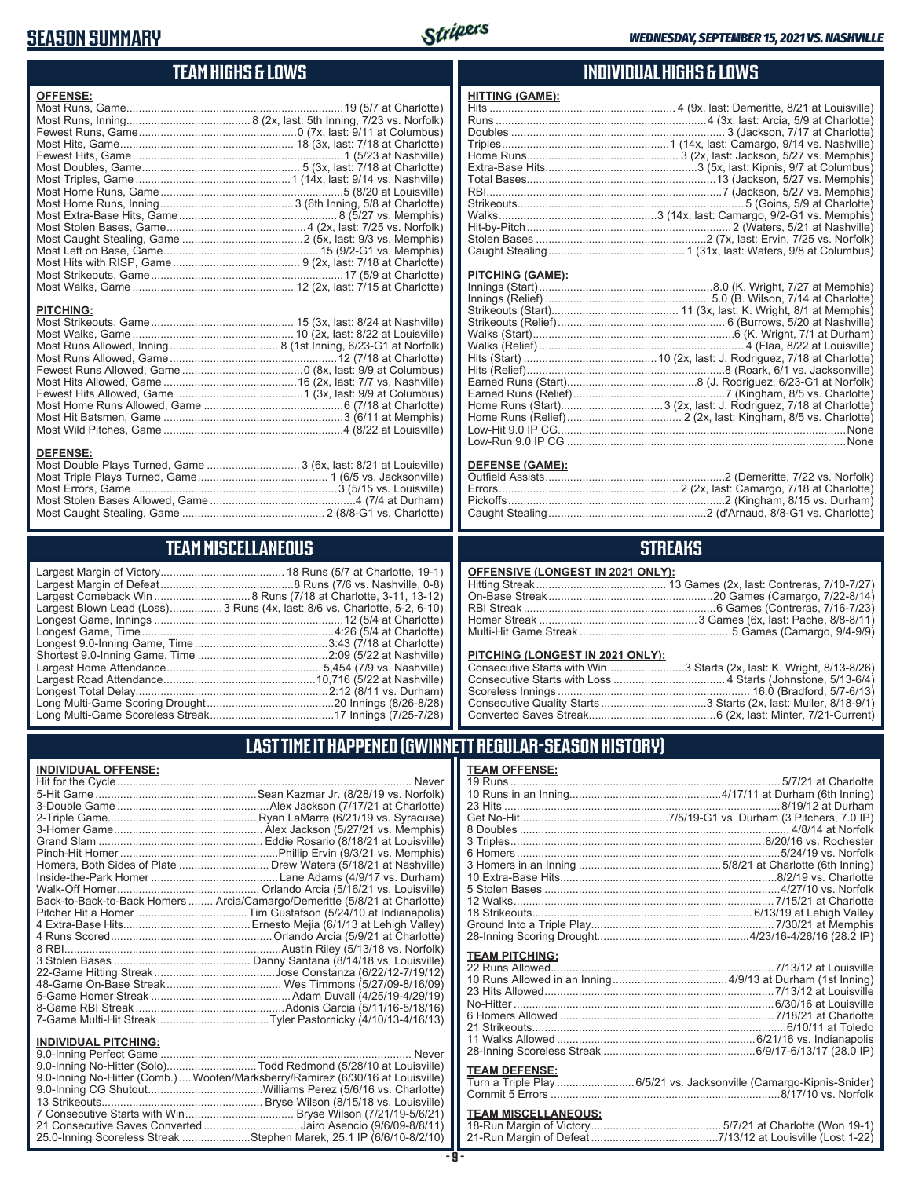### **SEASON SUMMARY**



## **TEAM HIGHS & LOWS**

| <b>OFFENSE:</b>                                                  |  |
|------------------------------------------------------------------|--|
|                                                                  |  |
|                                                                  |  |
|                                                                  |  |
|                                                                  |  |
|                                                                  |  |
|                                                                  |  |
|                                                                  |  |
|                                                                  |  |
|                                                                  |  |
|                                                                  |  |
|                                                                  |  |
|                                                                  |  |
|                                                                  |  |
|                                                                  |  |
|                                                                  |  |
|                                                                  |  |
|                                                                  |  |
| <b>PITCHING:</b>                                                 |  |
|                                                                  |  |
|                                                                  |  |
|                                                                  |  |
|                                                                  |  |
|                                                                  |  |
|                                                                  |  |
|                                                                  |  |
|                                                                  |  |
|                                                                  |  |
|                                                                  |  |
|                                                                  |  |
| <b>DEFENSE:</b>                                                  |  |
| Most Double Plays Turned, Game  3 (6x, last: 8/21 at Louisville) |  |
|                                                                  |  |
|                                                                  |  |

Most Errors, Game ..................................................................3 (5/15 vs. Louisville) Most Stolen Bases Allowed, Game ...............................................4 (7/4 at Durham) Most Caught Stealing, Game .............................................. 2 (8/8-G1 vs. Charlotte)

### **TEAM MISCELLANEOUS**

| Largest Blown Lead (Loss)3 Runs (4x, last: 8/6 vs. Charlotte, 5-2, 6-10) |
|--------------------------------------------------------------------------|
|                                                                          |
| Longest Game, Time……………………………………………………4:26 (5/4 at Charlotte)            |
|                                                                          |
|                                                                          |
|                                                                          |
|                                                                          |
|                                                                          |
|                                                                          |
|                                                                          |

### **INDIVIDUAL HIGHS & LOWS**

| <b>HITTING (GAME):</b> |  |
|------------------------|--|
|                        |  |
|                        |  |
|                        |  |
|                        |  |
|                        |  |
|                        |  |
|                        |  |
|                        |  |
|                        |  |
|                        |  |
|                        |  |
|                        |  |
|                        |  |
|                        |  |

#### **PITCHING (GAME):**

| None |
|------|
|      |
|      |

#### **DEFENSE (GAME):**

### **STREAKS**

#### **OFFENSIVE (LONGEST IN 2021 ONLY):**

#### **PITCHING (LONGEST IN 2021 ONLY):**

| Consecutive Starts with Win3 Starts (2x, last: K. Wright, 8/13-8/26) |
|----------------------------------------------------------------------|
|                                                                      |
|                                                                      |
|                                                                      |
|                                                                      |
|                                                                      |

### **LAST TIME IT HAPPENED (GWINNETT REGULAR-SEASON HISTORY)**

#### **INDIVIDUAL OFFENSE:**

|                                                        | Back-to-Back-to-Back Homers  Arcia/Camargo/Demeritte (5/8/21 at Charlotte) |
|--------------------------------------------------------|----------------------------------------------------------------------------|
|                                                        |                                                                            |
|                                                        |                                                                            |
|                                                        |                                                                            |
|                                                        |                                                                            |
|                                                        |                                                                            |
|                                                        |                                                                            |
|                                                        |                                                                            |
|                                                        |                                                                            |
|                                                        |                                                                            |
|                                                        |                                                                            |
|                                                        |                                                                            |
| <b>INDIVIDUAL PITCHING:</b><br>0.0 Inning Perfect Came | Nover                                                                      |
|                                                        |                                                                            |

| 9.0-Inning No-Hitter (Comb.) Wooten/Marksberry/Ramirez (6/30/16 at Louisville) |
|--------------------------------------------------------------------------------|
|                                                                                |
|                                                                                |
|                                                                                |
| 21 Consecutive Saves Converted Jairo Asencio (9/6/09-8/8/11)                   |
| 25.0-Inning Scoreless Streak Stephen Marek, 25.1 IP (6/6/10-8/2/10)            |

### **TEAM OFFENSE:**

| <b>TEAM PITCHING:</b> |  |
|-----------------------|--|
|                       |  |
|                       |  |
|                       |  |
|                       |  |
|                       |  |
|                       |  |
|                       |  |
|                       |  |
|                       |  |

#### **TEAM DEFENSE:**

| Turn a Triple Play 6/5/21 vs. Jacksonville (Camargo-Kipnis-Snider) |
|--------------------------------------------------------------------|
|                                                                    |

# **TEAM MISCELLANEOUS:**<br>18-Run Margin of Victory....